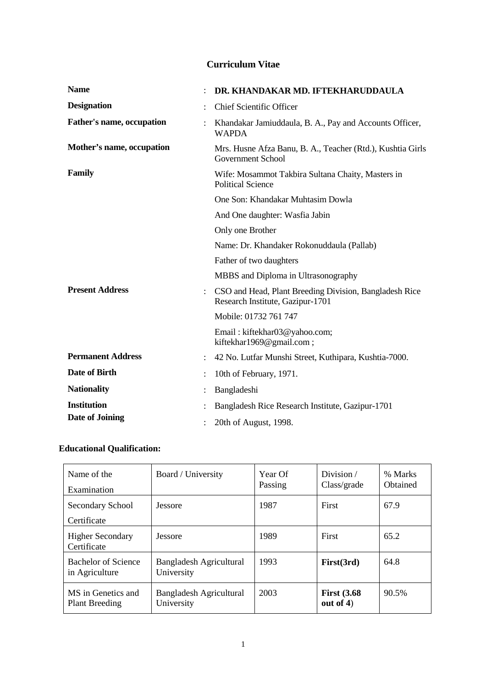# **Curriculum Vitae**

| <b>Name</b>               |                | DR. KHANDAKAR MD. IFTEKHARUDDAULA                                                          |
|---------------------------|----------------|--------------------------------------------------------------------------------------------|
| <b>Designation</b>        |                | <b>Chief Scientific Officer</b>                                                            |
| Father's name, occupation |                | Khandakar Jamiuddaula, B. A., Pay and Accounts Officer,<br><b>WAPDA</b>                    |
| Mother's name, occupation |                | Mrs. Husne Afza Banu, B. A., Teacher (Rtd.), Kushtia Girls<br>Government School            |
| Family                    |                | Wife: Mosammot Takbira Sultana Chaity, Masters in<br><b>Political Science</b>              |
|                           |                | One Son: Khandakar Muhtasim Dowla                                                          |
|                           |                | And One daughter: Wasfia Jabin                                                             |
|                           |                | Only one Brother                                                                           |
|                           |                | Name: Dr. Khandaker Rokonuddaula (Pallab)                                                  |
|                           |                | Father of two daughters                                                                    |
|                           |                | MBBS and Diploma in Ultrasonography                                                        |
| <b>Present Address</b>    | $\ddot{\cdot}$ | CSO and Head, Plant Breeding Division, Bangladesh Rice<br>Research Institute, Gazipur-1701 |
|                           |                | Mobile: 01732 761 747                                                                      |
|                           |                | Email: kiftekhar03@yahoo.com;<br>kiftekhar1969@gmail.com;                                  |
| <b>Permanent Address</b>  |                | 42 No. Lutfar Munshi Street, Kuthipara, Kushtia-7000.                                      |
| Date of Birth             |                | 10th of February, 1971.                                                                    |
| <b>Nationality</b>        |                | Bangladeshi                                                                                |
| <b>Institution</b>        |                | Bangladesh Rice Research Institute, Gazipur-1701                                           |
| Date of Joining           |                | 20th of August, 1998.                                                                      |

# **Educational Qualification:**

| Name of the<br>Examination                  | Board / University                    | Year Of<br>Passing | Division $\overline{\phantom{a}}$<br>Class/grade | % Marks<br>Obtained |
|---------------------------------------------|---------------------------------------|--------------------|--------------------------------------------------|---------------------|
| Secondary School<br>Certificate             | Jessore                               | 1987               | First                                            | 67.9                |
| <b>Higher Secondary</b><br>Certificate      | Jessore                               | 1989               | First                                            | 65.2                |
| Bachelor of Science<br>in Agriculture       | Bangladesh Agricultural<br>University | 1993               | First(3rd)                                       | 64.8                |
| MS in Genetics and<br><b>Plant Breeding</b> | Bangladesh Agricultural<br>University | 2003               | <b>First (3.68</b><br>out of $4$ )               | 90.5%               |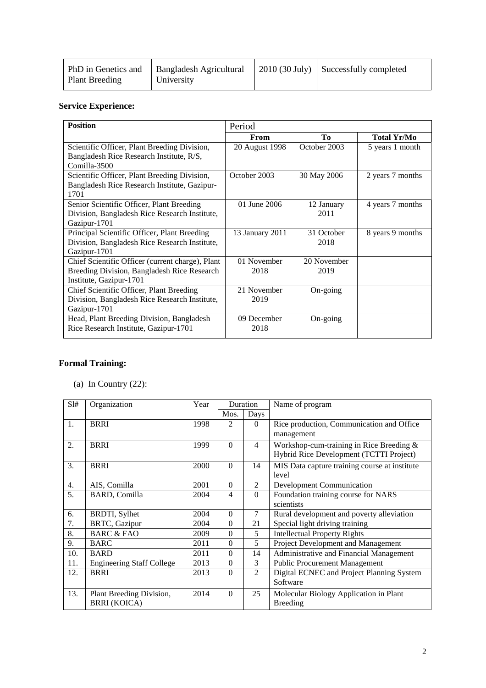|                | PhD in Genetics and   Bangladesh Agricultural | $\vert$ 2010 (30 July) $\vert$ Successfully completed |
|----------------|-----------------------------------------------|-------------------------------------------------------|
| Plant Breeding | University                                    |                                                       |

# **Service Experience:**

| <b>Position</b>                                  | Period          |              |                    |
|--------------------------------------------------|-----------------|--------------|--------------------|
|                                                  | From            | Tо           | <b>Total Yr/Mo</b> |
| Scientific Officer, Plant Breeding Division,     | 20 August 1998  | October 2003 | 5 years 1 month    |
| Bangladesh Rice Research Institute, R/S,         |                 |              |                    |
| $Comilla-3500$                                   |                 |              |                    |
| Scientific Officer, Plant Breeding Division,     | October 2003    | 30 May 2006  | 2 years 7 months   |
| Bangladesh Rice Research Institute, Gazipur-     |                 |              |                    |
| 1701                                             |                 |              |                    |
| Senior Scientific Officer, Plant Breeding        | 01 June 2006    | 12 January   | 4 years 7 months   |
| Division, Bangladesh Rice Research Institute,    |                 | 2011         |                    |
| Gazipur-1701                                     |                 |              |                    |
| Principal Scientific Officer, Plant Breeding     | 13 January 2011 | 31 October   | 8 years 9 months   |
| Division, Bangladesh Rice Research Institute,    |                 | 2018         |                    |
| Gazipur-1701                                     |                 |              |                    |
| Chief Scientific Officer (current charge), Plant | 01 November     | 20 November  |                    |
| Breeding Division, Bangladesh Rice Research      | 2018            | 2019         |                    |
| Institute, Gazipur-1701                          |                 |              |                    |
| Chief Scientific Officer, Plant Breeding         | 21 November     | On-going     |                    |
| Division, Bangladesh Rice Research Institute,    | 2019            |              |                    |
| Gazipur-1701                                     |                 |              |                    |
| Head, Plant Breeding Division, Bangladesh        | 09 December     | On-going     |                    |
| Rice Research Institute, Gazipur-1701            | 2018            |              |                    |
|                                                  |                 |              |                    |

# **Formal Training:**

(a) In Country  $(22)$ :

| SI# | Organization                     | Year |                | <b>Duration</b> | Name of program                                                                       |
|-----|----------------------------------|------|----------------|-----------------|---------------------------------------------------------------------------------------|
|     |                                  |      | Mos.           | Days            |                                                                                       |
| 1.  | <b>BRRI</b>                      | 1998 | $\mathfrak{D}$ | $\Omega$        | Rice production, Communication and Office                                             |
|     |                                  |      |                |                 | management                                                                            |
| 2.  | <b>BRRI</b>                      | 1999 | $\Omega$       | 4               | Workshop-cum-training in Rice Breeding $&$<br>Hybrid Rice Development (TCTTI Project) |
| 3.  | <b>BRRI</b>                      | 2000 | $\theta$       | 14              | MIS Data capture training course at institute                                         |
|     |                                  |      |                |                 | level                                                                                 |
| 4.  | AIS, Comilla                     | 2001 | $\Omega$       | 2               | <b>Development Communication</b>                                                      |
| 5.  | <b>BARD, Comilla</b>             | 2004 | 4              | $\Omega$        | Foundation training course for NARS                                                   |
|     |                                  |      |                |                 | scientists                                                                            |
| 6.  | <b>BRDTI, Sylhet</b>             | 2004 | $\Omega$       | 7               | Rural development and poverty alleviation                                             |
| 7.  | <b>BRTC, Gazipur</b>             | 2004 | $\theta$       | 21              | Special light driving training                                                        |
| 8.  | <b>BARC &amp; FAO</b>            | 2009 | $\theta$       | 5               | <b>Intellectual Property Rights</b>                                                   |
| 9.  | <b>BARC</b>                      | 2011 | $\theta$       | 5               | Project Development and Management                                                    |
| 10. | <b>BARD</b>                      | 2011 | $\theta$       | 14              | Administrative and Financial Management                                               |
| 11. | <b>Engineering Staff College</b> | 2013 | $\theta$       | 3               | <b>Public Procurement Management</b>                                                  |
| 12. | <b>BRRI</b>                      | 2013 | $\theta$       | $\overline{2}$  | Digital ECNEC and Project Planning System                                             |
|     |                                  |      |                |                 | Software                                                                              |
| 13. | Plant Breeding Division,         | 2014 | $\Omega$       | 25              | Molecular Biology Application in Plant                                                |
|     | <b>BRRI (KOICA)</b>              |      |                |                 | <b>Breeding</b>                                                                       |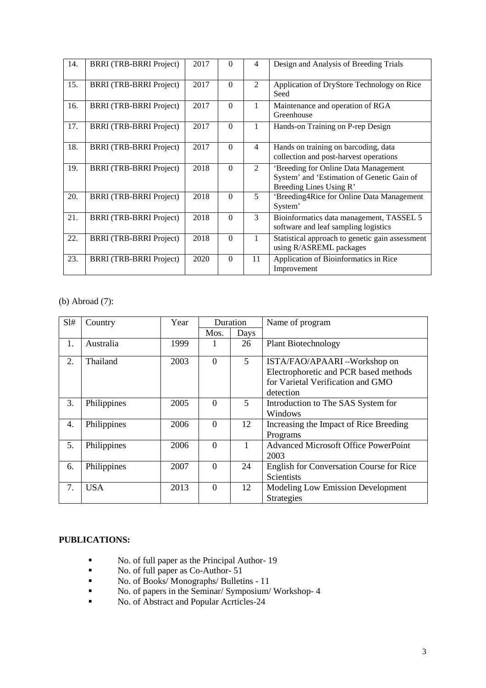| 14. | <b>BRRI</b> (TRB-BRRI Project) | 2017 | $\Omega$ | 4              | Design and Analysis of Breeding Trials                                                                        |
|-----|--------------------------------|------|----------|----------------|---------------------------------------------------------------------------------------------------------------|
| 15. | <b>BRRI</b> (TRB-BRRI Project) | 2017 | $\theta$ | $\overline{c}$ | Application of DryStore Technology on Rice<br>Seed                                                            |
| 16. | <b>BRRI</b> (TRB-BRRI Project) | 2017 | $\Omega$ | 1              | Maintenance and operation of RGA<br>Greenhouse                                                                |
| 17. | <b>BRRI</b> (TRB-BRRI Project) | 2017 | $\Omega$ | 1              | Hands-on Training on P-rep Design                                                                             |
| 18. | <b>BRRI</b> (TRB-BRRI Project) | 2017 | $\Omega$ | $\overline{4}$ | Hands on training on barcoding, data<br>collection and post-harvest operations                                |
| 19. | <b>BRRI</b> (TRB-BRRI Project) | 2018 | $\Omega$ | $\overline{c}$ | 'Breeding for Online Data Management<br>System' and 'Estimation of Genetic Gain of<br>Breeding Lines Using R' |
| 20. | <b>BRRI</b> (TRB-BRRI Project) | 2018 | $\Omega$ | 5              | 'Breeding4Rice for Online Data Management<br>System'                                                          |
| 21. | <b>BRRI</b> (TRB-BRRI Project) | 2018 | $\theta$ | 3              | Bioinformatics data management, TASSEL 5<br>software and leaf sampling logistics                              |
| 22. | <b>BRRI</b> (TRB-BRRI Project) | 2018 | $\Omega$ | 1              | Statistical approach to genetic gain assessment<br>using R/ASREML packages                                    |
| 23. | <b>BRRI</b> (TRB-BRRI Project) | 2020 | $\Omega$ | 11             | Application of Bioinformatics in Rice<br>Improvement                                                          |

(b) Abroad (7):

| SI# | Country     | Year |          | Duration | Name of program                                                                                                        |
|-----|-------------|------|----------|----------|------------------------------------------------------------------------------------------------------------------------|
|     |             |      | Mos.     | Days     |                                                                                                                        |
| 1.  | Australia   | 1999 |          | 26       | <b>Plant Biotechnology</b>                                                                                             |
| 2.  | Thailand    | 2003 | $\Omega$ | 5        | ISTA/FAO/APAARI-Workshop on<br>Electrophoretic and PCR based methods<br>for Varietal Verification and GMO<br>detection |
| 3.  | Philippines | 2005 | $\Omega$ | 5        | Introduction to The SAS System for<br>Windows                                                                          |
| 4.  | Philippines | 2006 | $\theta$ | 12       | Increasing the Impact of Rice Breeding<br>Programs                                                                     |
| 5.  | Philippines | 2006 | $\Omega$ |          | <b>Advanced Microsoft Office PowerPoint</b><br>2003                                                                    |
| 6.  | Philippines | 2007 | $\Omega$ | 24       | <b>English for Conversation Course for Rice</b><br>Scientists                                                          |
| 7.  | <b>USA</b>  | 2013 | $\Omega$ | 12       | <b>Modeling Low Emission Development</b><br><b>Strategies</b>                                                          |

## **PUBLICATIONS:**

- No. of full paper as the Principal Author- 19
- No. of full paper as Co-Author- 51
- No. of Books/Monographs/ Bulletins 11
- No. of papers in the Seminar/ Symposium/ Workshop- 4
- No. of Abstract and Popular Acrticles-24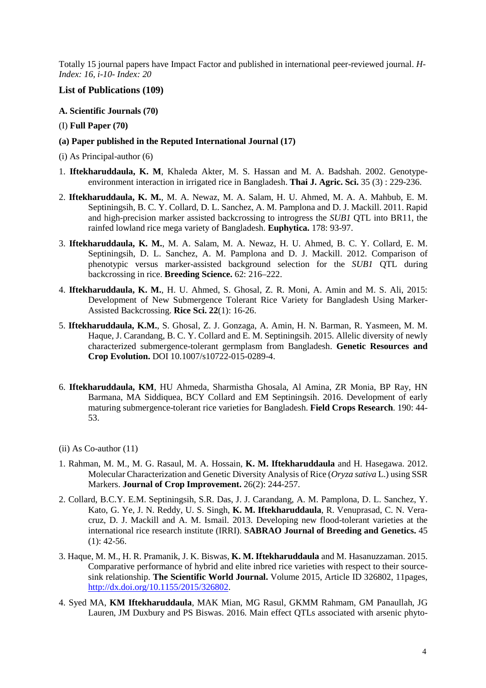Totally 15 journal papers have Impact Factor and published in international peer-reviewed journal. *H-Index: 16, i-10- Index: 20* 

# **List of Publications (109)**

## **A. Scientific Journals (70)**

- (I) **Full Paper (70)**
- **(a) Paper published in the Reputed International Journal (17)**
- (i) As Principal-author (6)
- 1. **Iftekharuddaula, K. M**, Khaleda Akter, M. S. Hassan and M. A. Badshah. 2002. Genotypeenvironment interaction in irrigated rice in Bangladesh. **Thai J. Agric. Sci.** 35 (3) : 229-236.
- 2. **Iftekharuddaula, K. M.**, M. A. Newaz, M. A. Salam, H. U. Ahmed, M. A. A. Mahbub, E. M. Septiningsih, B. C. Y. Collard, D. L. Sanchez, A. M. Pamplona and D. J. Mackill. 2011. Rapid and high-precision marker assisted backcrossing to introgress the *SUB1* QTL into BR11, the rainfed lowland rice mega variety of Bangladesh. **Euphytica.** 178: 93-97.
- 3. **Iftekharuddaula, K. M.**, M. A. Salam, M. A. Newaz, H. U. Ahmed, B. C. Y. Collard, E. M. Septiningsih, D. L. Sanchez, A. M. Pamplona and D. J. Mackill. 2012. Comparison of phenotypic versus marker-assisted background selection for the *SUB1* QTL during backcrossing in rice. **Breeding Science.** 62: 216–222.
- 4. **Iftekharuddaula, K. M.**, H. U. Ahmed, S. Ghosal, Z. R. Moni, A. Amin and M. S. Ali, 2015: Development of New Submergence Tolerant Rice Variety for Bangladesh Using Marker-Assisted Backcrossing. **Rice Sci. 22**(1): 16-26.
- 5. **Iftekharuddaula, K.M.**, S. Ghosal, Z. J. Gonzaga, A. Amin, H. N. Barman, R. Yasmeen, M. M. Haque, J. Carandang, B. C. Y. Collard and E. M. Septiningsih. 2015. Allelic diversity of newly characterized submergence-tolerant germplasm from Bangladesh. **Genetic Resources and Crop Evolution.** DOI 10.1007/s10722-015-0289-4.
- 6. **Iftekharuddaula, KM**, HU Ahmeda, Sharmistha Ghosala, Al Amina, ZR Monia, BP Ray, HN Barmana, MA Siddiquea, BCY Collard and EM Septiningsih. 2016. Development of early maturing submergence-tolerant rice varieties for Bangladesh. **Field Crops Research**. 190: 44- 53.
- (ii) As Co-author (11)
- 1. Rahman, M. M., M. G. Rasaul, M. A. Hossain, **K. M. Iftekharuddaula** and H. Hasegawa. 2012. Molecular Characterization and Genetic Diversity Analysis of Rice (*Oryza sativa* L.) using SSR Markers. **Journal of Crop Improvement.** 26(2): 244-257.
- 2. Collard, B.C.Y. E.M. Septiningsih, S.R. Das, J. J. Carandang, A. M. Pamplona, D. L. Sanchez, Y. Kato, G. Ye, J. N. Reddy, U. S. Singh, **K. M. Iftekharuddaula**, R. Venuprasad, C. N. Veracruz, D. J. Mackill and A. M. Ismail. 2013. Developing new flood-tolerant varieties at the international rice research institute (IRRI). **SABRAO Journal of Breeding and Genetics.** 45  $(1): 42-56.$
- 3. Haque, M. M., H. R. Pramanik, J. K. Biswas, **K. M. Iftekharuddaula** and M. Hasanuzzaman. 2015. Comparative performance of hybrid and elite inbred rice varieties with respect to their sourcesink relationship. **The Scientific World Journal.** Volume 2015, Article ID 326802, 11pages, http://dx.doi.org/10.1155/2015/326802.
- 4. Syed MA, **KM Iftekharuddaula**, MAK Mian, MG Rasul, GKMM Rahmam, GM Panaullah, JG Lauren, JM Duxbury and PS Biswas. 2016. Main effect QTLs associated with arsenic phyto-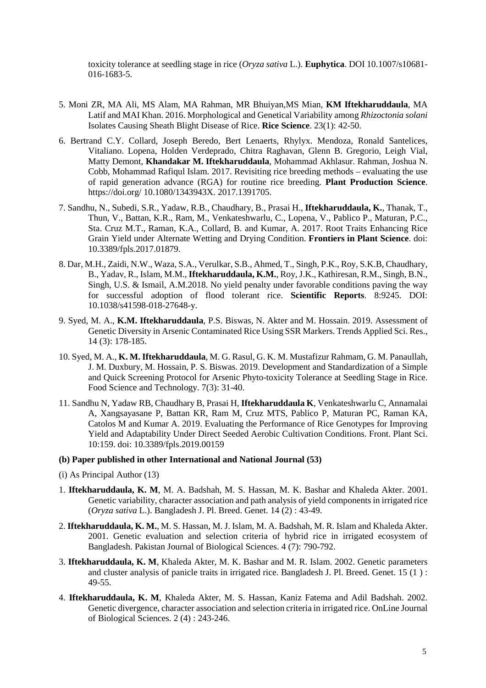toxicity tolerance at seedling stage in rice (*Oryza sativa* L.). **Euphytica**. DOI 10.1007/s10681- 016-1683-5.

- 5. Moni ZR, MA Ali, MS Alam, MA Rahman, MR Bhuiyan,MS Mian, **KM Iftekharuddaula**, MA Latif and MAI Khan. 2016. Morphological and Genetical Variability among *Rhizoctonia solani*  Isolates Causing Sheath Blight Disease of Rice. **Rice Science**. 23(1): 42-50.
- 6. Bertrand C.Y. Collard, Joseph Beredo, Bert Lenaerts, Rhylyx. Mendoza, Ronald Santelices, Vitaliano. Lopena, Holden Verdeprado, Chitra Raghavan, Glenn B. Gregorio, Leigh Vial, Matty Demont, **Khandakar M. Iftekharuddaula**, Mohammad Akhlasur. Rahman, Joshua N. Cobb, Mohammad Rafiqul Islam. 2017. Revisiting rice breeding methods – evaluating the use of rapid generation advance (RGA) for routine rice breeding. **Plant Production Science**. https://doi.org/ 10.1080/1343943X. 2017.1391705.
- 7. Sandhu, N., Subedi, S.R., Yadaw, R.B., Chaudhary, B., Prasai H., **Iftekharuddaula, K.**, Thanak, T., Thun, V., Battan, K.R., Ram, M., Venkateshwarlu, C., Lopena, V., Pablico P., Maturan, P.C., Sta. Cruz M.T., Raman, K.A., Collard, B. and Kumar, A. 2017. Root Traits Enhancing Rice Grain Yield under Alternate Wetting and Drying Condition. **Frontiers in Plant Science**. doi: 10.3389/fpls.2017.01879.
- 8. Dar, M.H., Zaidi, N.W., Waza, S.A., Verulkar, S.B., Ahmed, T., Singh, P.K., Roy, S.K.B, Chaudhary, B., Yadav, R., Islam, M.M., **Iftekharuddaula, K.M.**, Roy, J.K., Kathiresan, R.M., Singh, B.N., Singh, U.S. & Ismail, A.M.2018. No yield penalty under favorable conditions paving the way for successful adoption of flood tolerant rice. **Scientific Reports**. 8:9245. DOI: 10.1038/s41598-018-27648-y.
- 9. Syed, M. A., **K.M. Iftekharuddaula**, P.S. Biswas, N. Akter and M. Hossain. 2019. Assessment of Genetic Diversity in Arsenic Contaminated Rice Using SSR Markers. Trends Applied Sci. Res., 14 (3): 178-185.
- 10. Syed, M. A., **K. M. Iftekharuddaula**, M. G. Rasul, G. K. M. Mustafizur Rahmam, G. M. Panaullah, J. M. Duxbury, M. Hossain, P. S. Biswas. 2019. Development and Standardization of a Simple and Quick Screening Protocol for Arsenic Phyto-toxicity Tolerance at Seedling Stage in Rice. Food Science and Technology. 7(3): 31-40.
- 11. Sandhu N, Yadaw RB, Chaudhary B, Prasai H, **Iftekharuddaula K**, Venkateshwarlu C, Annamalai A, Xangsayasane P, Battan KR, Ram M, Cruz MTS, Pablico P, Maturan PC, Raman KA, Catolos M and Kumar A. 2019. Evaluating the Performance of Rice Genotypes for Improving Yield and Adaptability Under Direct Seeded Aerobic Cultivation Conditions. Front. Plant Sci. 10:159. doi: 10.3389/fpls.2019.00159

## **(b) Paper published in other International and National Journal (53)**

- (i) As Principal Author (13)
- 1. **Iftekharuddaula, K. M**, M. A. Badshah, M. S. Hassan, M. K. Bashar and Khaleda Akter. 2001. Genetic variability, character association and path analysis of yield components in irrigated rice (*Oryza sativa* L.). Bangladesh J. Pl. Breed. Genet. 14 (2) : 43-49.
- 2. **Iftekharuddaula, K. M.**, M. S. Hassan, M. J. Islam, M. A. Badshah, M. R. Islam and Khaleda Akter. 2001. Genetic evaluation and selection criteria of hybrid rice in irrigated ecosystem of Bangladesh. Pakistan Journal of Biological Sciences. 4 (7): 790-792.
- 3. **Iftekharuddaula, K. M**, Khaleda Akter, M. K. Bashar and M. R. Islam. 2002. Genetic parameters and cluster analysis of panicle traits in irrigated rice. Bangladesh J. Pl. Breed. Genet. 15 (1 ) : 49-55.
- 4. **Iftekharuddaula, K. M**, Khaleda Akter, M. S. Hassan, Kaniz Fatema and Adil Badshah. 2002. Genetic divergence, character association and selection criteria in irrigated rice. OnLine Journal of Biological Sciences. 2 (4) : 243-246.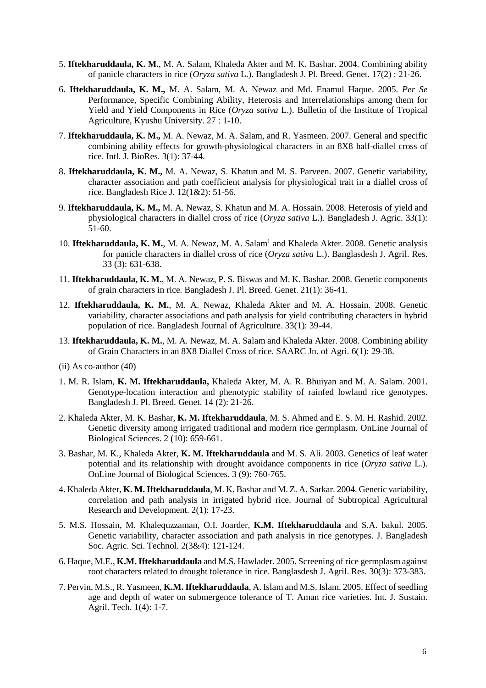- 5. **Iftekharuddaula, K. M.**, M. A. Salam, Khaleda Akter and M. K. Bashar. 2004. Combining ability of panicle characters in rice (*Oryza sativa* L.). Bangladesh J. Pl. Breed. Genet. 17(2) : 21-26.
- 6. **Iftekharuddaula, K. M.,** M. A. Salam, M. A. Newaz and Md. Enamul Haque. 2005. *Per Se* Performance, Specific Combining Ability, Heterosis and Interrelationships among them for Yield and Yield Components in Rice (*Oryza sativa* L.). Bulletin of the Institute of Tropical Agriculture, Kyushu University. 27 : 1-10.
- 7. **Iftekharuddaula, K. M.,** M. A. Newaz, M. A. Salam, and R. Yasmeen. 2007. General and specific combining ability effects for growth-physiological characters in an 8X8 half-diallel cross of rice. Intl. J. BioRes. 3(1): 37-44.
- 8. **Iftekharuddaula, K. M.,** M. A. Newaz, S. Khatun and M. S. Parveen. 2007. Genetic variability, character association and path coefficient analysis for physiological trait in a diallel cross of rice. Bangladesh Rice J. 12(1&2): 51-56.
- 9. **Iftekharuddaula, K. M.,** M. A. Newaz, S. Khatun and M. A. Hossain. 2008. Heterosis of yield and physiological characters in diallel cross of rice (*Oryza sativa* L.). Bangladesh J. Agric. 33(1): 51-60.
- 10. Iftekharuddaula, K. M., M. A. Newaz, M. A. Salam<sup>1</sup> and Khaleda Akter. 2008. Genetic analysis for panicle characters in diallel cross of rice (*Oryza sativa* L.). Banglasdesh J. Agril. Res. 33 (3): 631-638.
- 11. **Iftekharuddaula, K. M.**, M. A. Newaz, P. S. Biswas and M. K. Bashar. 2008. Genetic components of grain characters in rice. Bangladesh J. Pl. Breed. Genet. 21(1): 36-41.
- 12. **Iftekharuddaula, K. M.**, M. A. Newaz, Khaleda Akter and M. A. Hossain. 2008. Genetic variability, character associations and path analysis for yield contributing characters in hybrid population of rice. Bangladesh Journal of Agriculture. 33(1): 39-44.
- 13. **Iftekharuddaula, K. M.**, M. A. Newaz, M. A. Salam and Khaleda Akter. 2008. Combining ability of Grain Characters in an 8X8 Diallel Cross of rice. SAARC Jn. of Agri. 6(1): 29-38.
- (ii) As co-author (40)
- 1. M. R. Islam, **K. M. Iftekharuddaula,** Khaleda Akter, M. A. R. Bhuiyan and M. A. Salam. 2001. Genotype-location interaction and phenotypic stability of rainfed lowland rice genotypes. Bangladesh J. Pl. Breed. Genet. 14 (2): 21-26.
- 2. Khaleda Akter, M. K. Bashar, **K. M. Iftekharuddaula**, M. S. Ahmed and E. S. M. H. Rashid. 2002. Genetic diversity among irrigated traditional and modern rice germplasm. OnLine Journal of Biological Sciences. 2 (10): 659-661.
- 3. Bashar, M. K., Khaleda Akter, **K. M. Iftekharuddaula** and M. S. Ali. 2003. Genetics of leaf water potential and its relationship with drought avoidance components in rice (*Oryza sativa* L.). OnLine Journal of Biological Sciences. 3 (9): 760-765.
- 4. Khaleda Akter, **K. M. Iftekharuddaula**, M. K. Bashar and M. Z. A. Sarkar. 2004. Genetic variability, correlation and path analysis in irrigated hybrid rice. Journal of Subtropical Agricultural Research and Development. 2(1): 17-23.
- 5. M.S. Hossain, M. Khalequzzaman, O.I. Joarder, **K.M. Iftekharuddaula** and S.A. bakul. 2005. Genetic variability, character association and path analysis in rice genotypes. J. Bangladesh Soc. Agric. Sci. Technol. 2(3&4): 121-124.
- 6. Haque, M.E., **K.M. Iftekharuddaula** and M.S. Hawlader. 2005. Screening of rice germplasm against root characters related to drought tolerance in rice. Banglasdesh J. Agril. Res. 30(3): 373-383.
- 7. Pervin, M.S., R. Yasmeen, **K.M. Iftekharuddaula**, A. Islam and M.S. Islam. 2005. Effect of seedling age and depth of water on submergence tolerance of T. Aman rice varieties. Int. J. Sustain. Agril. Tech. 1(4): 1-7.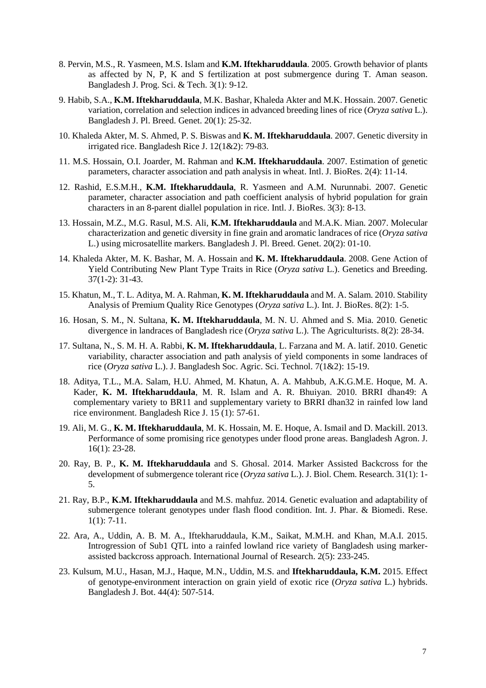- 8. Pervin, M.S., R. Yasmeen, M.S. Islam and **K.M. Iftekharuddaula**. 2005. Growth behavior of plants as affected by N, P, K and S fertilization at post submergence during T. Aman season. Bangladesh J. Prog. Sci. & Tech. 3(1): 9-12.
- 9. Habib, S.A., **K.M. Iftekharuddaula**, M.K. Bashar, Khaleda Akter and M.K. Hossain. 2007. Genetic variation, correlation and selection indices in advanced breeding lines of rice (*Oryza sativa* L.). Bangladesh J. Pl. Breed. Genet. 20(1): 25-32.
- 10. Khaleda Akter, M. S. Ahmed, P. S. Biswas and **K. M. Iftekharuddaula**. 2007. Genetic diversity in irrigated rice. Bangladesh Rice J. 12(1&2): 79-83.
- 11. M.S. Hossain, O.I. Joarder, M. Rahman and **K.M. Iftekharuddaula**. 2007. Estimation of genetic parameters, character association and path analysis in wheat. Intl. J. BioRes. 2(4): 11-14.
- 12. Rashid, E.S.M.H., **K.M. Iftekharuddaula**, R. Yasmeen and A.M. Nurunnabi. 2007. Genetic parameter, character association and path coefficient analysis of hybrid population for grain characters in an 8-parent diallel population in rice. Intl. J. BioRes. 3(3): 8-13.
- 13. Hossain, M.Z., M.G. Rasul, M.S. Ali, **K.M. Iftekharuddaula** and M.A.K. Mian. 2007. Molecular characterization and genetic diversity in fine grain and aromatic landraces of rice (*Oryza sativa* L.) using microsatellite markers. Bangladesh J. Pl. Breed. Genet. 20(2): 01-10.
- 14. Khaleda Akter, M. K. Bashar, M. A. Hossain and **K. M. Iftekharuddaula**. 2008. Gene Action of Yield Contributing New Plant Type Traits in Rice (*Oryza sativa* L.). Genetics and Breeding. 37(1-2): 31-43.
- 15. Khatun, M., T. L. Aditya, M. A. Rahman, **K. M. Iftekharuddaula** and M. A. Salam. 2010. Stability Analysis of Premium Quality Rice Genotypes (*Oryza sativa* L.). Int. J. BioRes. 8(2): 1-5.
- 16. Hosan, S. M., N. Sultana, **K. M. Iftekharuddaula**, M. N. U. Ahmed and S. Mia. 2010. Genetic divergence in landraces of Bangladesh rice (*Oryza sativa* L.). The Agriculturists. 8(2): 28-34.
- 17. Sultana, N., S. M. H. A. Rabbi, **K. M. Iftekharuddaula**, L. Farzana and M. A. latif. 2010. Genetic variability, character association and path analysis of yield components in some landraces of rice (*Oryza sativa* L.). J. Bangladesh Soc. Agric. Sci. Technol. 7(1&2): 15-19.
- 18. Aditya, T.L., M.A. Salam, H.U. Ahmed, M. Khatun, A. A. Mahbub, A.K.G.M.E. Hoque, M. A. Kader, **K. M. Iftekharuddaula**, M. R. Islam and A. R. Bhuiyan. 2010. BRRI dhan49: A complementary variety to BR11 and supplementary variety to BRRI dhan32 in rainfed low land rice environment. Bangladesh Rice J. 15 (1): 57-61.
- 19. Ali, M. G., **K. M. Iftekharuddaula**, M. K. Hossain, M. E. Hoque, A. Ismail and D. Mackill. 2013. Performance of some promising rice genotypes under flood prone areas. Bangladesh Agron. J. 16(1): 23-28.
- 20. Ray, B. P., **K. M. Iftekharuddaula** and S. Ghosal. 2014. Marker Assisted Backcross for the development of submergence tolerant rice (*Oryza sativa* L.). J. Biol. Chem. Research. 31(1): 1- 5.
- 21. Ray, B.P., **K.M. Iftekharuddaula** and M.S. mahfuz. 2014. Genetic evaluation and adaptability of submergence tolerant genotypes under flash flood condition. Int. J. Phar. & Biomedi. Rese. 1(1): 7-11.
- 22. Ara, A., Uddin, A. B. M. A., Iftekharuddaula, K.M., Saikat, M.M.H. and Khan, M.A.I. 2015. Introgression of Sub1 QTL into a rainfed lowland rice variety of Bangladesh using markerassisted backcross approach. International Journal of Research. 2(5): 233-245.
- 23. Kulsum, M.U., Hasan, M.J., Haque, M.N., Uddin, M.S. and **Iftekharuddaula, K.M.** 2015. Effect of genotype-environment interaction on grain yield of exotic rice (*Oryza sativa* L.) hybrids. Bangladesh J. Bot. 44(4): 507-514.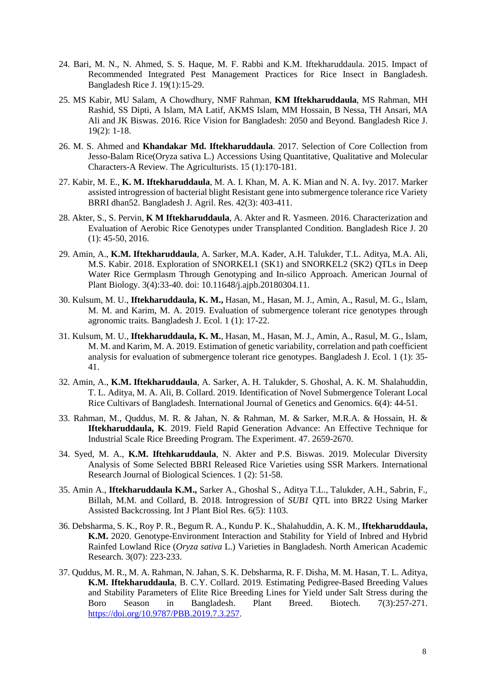- 24. Bari, M. N., N. Ahmed, S. S. Haque, M. F. Rabbi and K.M. Iftekharuddaula. 2015. Impact of Recommended Integrated Pest Management Practices for Rice Insect in Bangladesh. Bangladesh Rice J. 19(1):15-29.
- 25. MS Kabir, MU Salam, A Chowdhury, NMF Rahman, **KM Iftekharuddaula**, MS Rahman, MH Rashid, SS Dipti, A Islam, MA Latif, AKMS Islam, MM Hossain, B Nessa, TH Ansari, MA Ali and JK Biswas. 2016. Rice Vision for Bangladesh: 2050 and Beyond. Bangladesh Rice J. 19(2): 1-18.
- 26. M. S. Ahmed and **Khandakar Md. Iftekharuddaula**. 2017. Selection of Core Collection from Jesso-Balam Rice(Oryza sativa L.) Accessions Using Quantitative, Qualitative and Molecular Characters-A Review. The Agriculturists. 15 (1):170-181.
- 27. Kabir, M. E., **K. M. Iftekharuddaula**, M. A. I. Khan, M. A. K. Mian and N. A. Ivy. 2017. Marker assisted introgression of bacterial blight Resistant gene into submergence tolerance rice Variety BRRI dhan52. Bangladesh J. Agril. Res. 42(3): 403-411.
- 28. Akter, S., S. Pervin, **K M Iftekharuddaula**, A. Akter and R. Yasmeen. 2016. Characterization and Evaluation of Aerobic Rice Genotypes under Transplanted Condition. Bangladesh Rice J. 20 (1): 45-50, 2016.
- 29. Amin, A., **K.M. Iftekharuddaula**, A. Sarker, M.A. Kader, A.H. Talukder, T.L. Aditya, M.A. Ali, M.S. Kabir. 2018. Exploration of SNORKEL1 (SK1) and SNORKEL2 (SK2) QTLs in Deep Water Rice Germplasm Through Genotyping and In-silico Approach. American Journal of Plant Biology. 3(4):33-40. doi: 10.11648/j.ajpb.20180304.11.
- 30. Kulsum, M. U., **Iftekharuddaula, K. M.,** Hasan, M., Hasan, M. J., Amin, A., Rasul, M. G., Islam, M. M. and Karim, M. A. 2019. Evaluation of submergence tolerant rice genotypes through agronomic traits. Bangladesh J. Ecol. 1 (1): 17-22.
- 31. Kulsum, M. U., **Iftekharuddaula, K. M.**, Hasan, M., Hasan, M. J., Amin, A., Rasul, M. G., Islam, M. M. and Karim, M. A. 2019. Estimation of genetic variability, correlation and path coefficient analysis for evaluation of submergence tolerant rice genotypes. Bangladesh J. Ecol. 1 (1): 35- 41.
- 32. Amin, A., **K.M. Iftekharuddaula**, A. Sarker, A. H. Talukder, S. Ghoshal, A. K. M. Shalahuddin, T. L. Aditya, M. A. Ali, B. Collard. 2019. Identification of Novel Submergence Tolerant Local Rice Cultivars of Bangladesh. International Journal of Genetics and Genomics. 6(4): 44-51.
- 33. Rahman, M., Quddus, M. R. & Jahan, N. & Rahman, M. & Sarker, M.R.A. & Hossain, H. & **Iftekharuddaula, K**. 2019. Field Rapid Generation Advance: An Effective Technique for Industrial Scale Rice Breeding Program. The Experiment. 47. 2659-2670.
- 34. Syed, M. A., **K.M. Iftehkaruddaula**, N. Akter and P.S. Biswas. 2019. Molecular Diversity Analysis of Some Selected BBRI Released Rice Varieties using SSR Markers. International Research Journal of Biological Sciences. 1 (2): 51-58.
- 35. Amin A., **Iftekharuddaula K.M.,** Sarker A., Ghoshal S., Aditya T.L., Talukder, A.H., Sabrin, F., Billah, M.M. and Collard, B. 2018. Introgression of *SUB1* QTL into BR22 Using Marker Assisted Backcrossing. Int J Plant Biol Res. 6(5): 1103.
- 36. Debsharma, S. K., Roy P. R., Begum R. A., Kundu P. K., Shalahuddin, A. K. M., **Iftekharuddaula, K.M.** 2020. Genotype-Environment Interaction and Stability for Yield of Inbred and Hybrid Rainfed Lowland Rice (*Oryza sativa* L.) Varieties in Bangladesh. North American Academic Research. 3(07): 223-233.
- 37. Quddus, M. R., M. A. Rahman, N. Jahan, S. K. Debsharma, R. F. Disha, M. M. Hasan, T. L. Aditya, **K.M. Iftekharuddaula**, B. C.Y. Collard. 2019. Estimating Pedigree-Based Breeding Values and Stability Parameters of Elite Rice Breeding Lines for Yield under Salt Stress during the Boro Season in Bangladesh. Plant Breed. Biotech. 7(3):257-271. https://doi.org/10.9787/PBB.2019.7.3.257.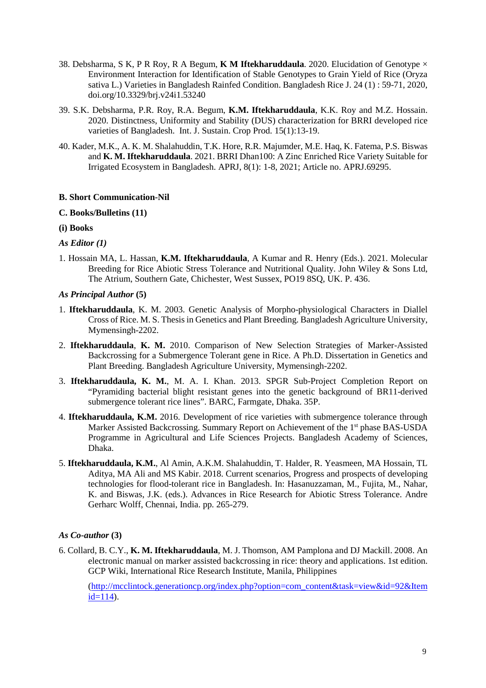- 38. Debsharma, S K, P R Roy, R A Begum, **K M Iftekharuddaula**. 2020. Elucidation of Genotype × Environment Interaction for Identification of Stable Genotypes to Grain Yield of Rice (Oryza sativa L.) Varieties in Bangladesh Rainfed Condition. Bangladesh Rice J. 24 (1) : 59-71, 2020, doi.org/10.3329/brj.v24i1.53240
- 39. S.K. Debsharma, P.R. Roy, R.A. Begum, **K.M. Iftekharuddaula**, K.K. Roy and M.Z. Hossain. 2020. Distinctness, Uniformity and Stability (DUS) characterization for BRRI developed rice varieties of Bangladesh. Int. J. Sustain. Crop Prod. 15(1):13-19.
- 40. Kader, M.K., A. K. M. Shalahuddin, T.K. Hore, R.R. Majumder, M.E. Haq, K. Fatema, P.S. Biswas and **K. M. Iftekharuddaula**. 2021. BRRI Dhan100: A Zinc Enriched Rice Variety Suitable for Irrigated Ecosystem in Bangladesh. APRJ, 8(1): 1-8, 2021; Article no. APRJ.69295.

## **B. Short Communication-Nil**

# **C. Books/Bulletins (11)**

# **(i) Books**

# *As Editor (1)*

1. Hossain MA, L. Hassan, **K.M. Iftekharuddaula**, A Kumar and R. Henry (Eds.). 2021. Molecular Breeding for Rice Abiotic Stress Tolerance and Nutritional Quality. John Wiley & Sons Ltd, The Atrium, Southern Gate, Chichester, West Sussex, PO19 8SQ, UK. P. 436.

# *As Principal Author* **(5)**

- 1. **Iftekharuddaula**, K. M. 2003. Genetic Analysis of Morpho-physiological Characters in Diallel Cross of Rice. M. S. Thesis in Genetics and Plant Breeding. Bangladesh Agriculture University, Mymensingh-2202.
- 2. **Iftekharuddaula**, **K. M.** 2010. Comparison of New Selection Strategies of Marker-Assisted Backcrossing for a Submergence Tolerant gene in Rice. A Ph.D. Dissertation in Genetics and Plant Breeding. Bangladesh Agriculture University, Mymensingh-2202.
- 3. **Iftekharuddaula, K. M.**, M. A. I. Khan. 2013. SPGR Sub-Project Completion Report on "Pyramiding bacterial blight resistant genes into the genetic background of BR11-derived submergence tolerant rice lines". BARC, Farmgate, Dhaka. 35P.
- 4. **Iftekharuddaula, K.M.** 2016. Development of rice varieties with submergence tolerance through Marker Assisted Backcrossing. Summary Report on Achievement of the 1<sup>st</sup> phase BAS-USDA Programme in Agricultural and Life Sciences Projects. Bangladesh Academy of Sciences, Dhaka.
- 5. **Iftekharuddaula, K.M.**, Al Amin, A.K.M. Shalahuddin, T. Halder, R. Yeasmeen, MA Hossain, TL Aditya, MA Ali and MS Kabir. 2018. Current scenarios, Progress and prospects of developing technologies for flood-tolerant rice in Bangladesh. In: Hasanuzzaman, M., Fujita, M., Nahar, K. and Biswas, J.K. (eds.). Advances in Rice Research for Abiotic Stress Tolerance. Andre Gerharc Wolff, Chennai, India. pp. 265-279.

# *As Co-author* **(3)**

6. Collard, B. C.Y., **K. M. Iftekharuddaula**, M. J. Thomson, AM Pamplona and DJ Mackill. 2008. An electronic manual on marker assisted backcrossing in rice: theory and applications. 1st edition. GCP Wiki, International Rice Research Institute, Manila, Philippines

(http://mcclintock.generationcp.org/index.php?option=com\_content&task=view&id=92&Item  $id=114$ ).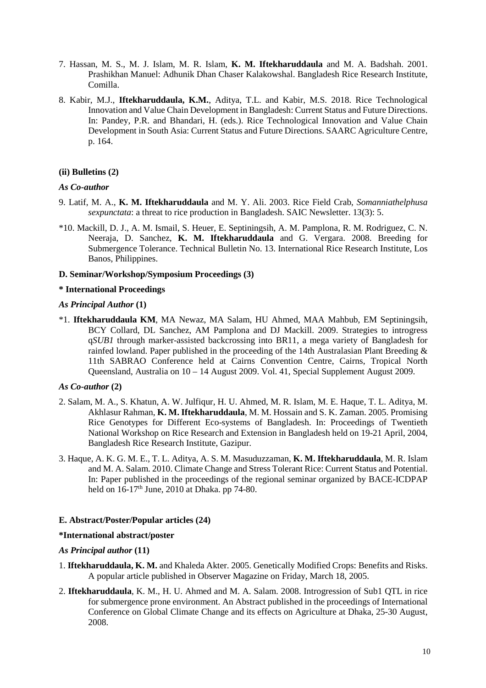- 7. Hassan, M. S., M. J. Islam, M. R. Islam, **K. M. Iftekharuddaula** and M. A. Badshah. 2001. Prashikhan Manuel: Adhunik Dhan Chaser Kalakowshal. Bangladesh Rice Research Institute, Comilla.
- 8. Kabir, M.J., **Iftekharuddaula, K.M.**, Aditya, T.L. and Kabir, M.S. 2018. Rice Technological Innovation and Value Chain Development in Bangladesh: Current Status and Future Directions. In: Pandey, P.R. and Bhandari, H. (eds.). Rice Technological Innovation and Value Chain Development in South Asia: Current Status and Future Directions. SAARC Agriculture Centre, p. 164.

## **(ii) Bulletins (2)**

#### *As Co-author*

- 9. Latif, M. A., **K. M. Iftekharuddaula** and M. Y. Ali. 2003. Rice Field Crab, *Somanniathelphusa sexpunctata*: a threat to rice production in Bangladesh. SAIC Newsletter. 13(3): 5.
- \*10. Mackill, D. J., A. M. Ismail, S. Heuer, E. Septiningsih, A. M. Pamplona, R. M. Rodriguez, C. N. Neeraja, D. Sanchez, **K. M. Iftekharuddaula** and G. Vergara. 2008. Breeding for Submergence Tolerance. Technical Bulletin No. 13. International Rice Research Institute, Los Banos, Philippines.

#### **D. Seminar/Workshop/Symposium Proceedings (3)**

#### **\* International Proceedings**

#### *As Principal Author* **(1)**

\*1. **Iftekharuddaula KM**, MA Newaz, MA Salam, HU Ahmed, MAA Mahbub, EM Septiningsih, BCY Collard, DL Sanchez, AM Pamplona and DJ Mackill. 2009. Strategies to introgress q*SUB1* through marker-assisted backcrossing into BR11, a mega variety of Bangladesh for rainfed lowland. Paper published in the proceeding of the 14th Australasian Plant Breeding & 11th SABRAO Conference held at Cairns Convention Centre, Cairns, Tropical North Queensland, Australia on 10 – 14 August 2009. Vol. 41, Special Supplement August 2009.

#### *As Co-author* **(2)**

- 2. Salam, M. A., S. Khatun, A. W. Julfiqur, H. U. Ahmed, M. R. Islam, M. E. Haque, T. L. Aditya, M. Akhlasur Rahman, **K. M. Iftekharuddaula**, M. M. Hossain and S. K. Zaman. 2005. Promising Rice Genotypes for Different Eco-systems of Bangladesh. In: Proceedings of Twentieth National Workshop on Rice Research and Extension in Bangladesh held on 19-21 April, 2004, Bangladesh Rice Research Institute, Gazipur.
- 3. Haque, A. K. G. M. E., T. L. Aditya, A. S. M. Masuduzzaman, **K. M. Iftekharuddaula**, M. R. Islam and M. A. Salam. 2010. Climate Change and Stress Tolerant Rice: Current Status and Potential. In: Paper published in the proceedings of the regional seminar organized by BACE-ICDPAP held on  $16-17<sup>th</sup>$  June, 2010 at Dhaka. pp 74-80.

#### **E. Abstract/Poster/Popular articles (24)**

### **\*International abstract/poster**

#### *As Principal author* **(11)**

- 1. **Iftekharuddaula, K. M.** and Khaleda Akter. 2005. Genetically Modified Crops: Benefits and Risks. A popular article published in Observer Magazine on Friday, March 18, 2005.
- 2. **Iftekharuddaula**, K. M., H. U. Ahmed and M. A. Salam. 2008. Introgression of Sub1 QTL in rice for submergence prone environment. An Abstract published in the proceedings of International Conference on Global Climate Change and its effects on Agriculture at Dhaka, 25-30 August, 2008.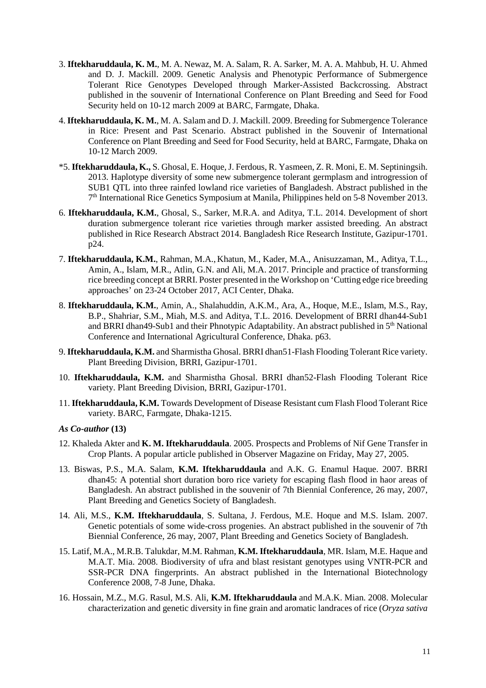- 3. **Iftekharuddaula, K. M.**, M. A. Newaz, M. A. Salam, R. A. Sarker, M. A. A. Mahbub, H. U. Ahmed and D. J. Mackill. 2009. Genetic Analysis and Phenotypic Performance of Submergence Tolerant Rice Genotypes Developed through Marker-Assisted Backcrossing. Abstract published in the souvenir of International Conference on Plant Breeding and Seed for Food Security held on 10-12 march 2009 at BARC, Farmgate, Dhaka.
- 4. **Iftekharuddaula, K. M.**, M. A. Salam and D. J. Mackill. 2009. Breeding for Submergence Tolerance in Rice: Present and Past Scenario. Abstract published in the Souvenir of International Conference on Plant Breeding and Seed for Food Security, held at BARC, Farmgate, Dhaka on 10-12 March 2009.
- \*5. **Iftekharuddaula, K.,** S. Ghosal, E. Hoque, J. Ferdous, R. Yasmeen, Z. R. Moni, E. M. Septiningsih. 2013. Haplotype diversity of some new submergence tolerant germplasm and introgression of SUB1 QTL into three rainfed lowland rice varieties of Bangladesh. Abstract published in the 7<sup>th</sup> International Rice Genetics Symposium at Manila, Philippines held on 5-8 November 2013.
- 6. **Iftekharuddaula, K.M.**, Ghosal, S., Sarker, M.R.A. and Aditya, T.L. 2014. Development of short duration submergence tolerant rice varieties through marker assisted breeding. An abstract published in Rice Research Abstract 2014. Bangladesh Rice Research Institute, Gazipur-1701. p24.
- 7. **Iftekharuddaula, K.M.**, Rahman, M.A., Khatun, M., Kader, M.A., Anisuzzaman, M., Aditya, T.L., Amin, A., Islam, M.R., Atlin, G.N. and Ali, M.A. 2017. Principle and practice of transforming rice breeding concept at BRRI. Poster presented in the Workshop on 'Cutting edge rice breeding approaches' on 23-24 October 2017, ACI Center, Dhaka.
- 8. **Iftekharuddaula, K.M.**, Amin, A., Shalahuddin, A.K.M., Ara, A., Hoque, M.E., Islam, M.S., Ray, B.P., Shahriar, S.M., Miah, M.S. and Aditya, T.L. 2016. Development of BRRI dhan44-Sub1 and BRRI dhan49-Sub1 and their Phnotypic Adaptability. An abstract published in 5<sup>th</sup> National Conference and International Agricultural Conference, Dhaka. p63.
- 9. **Iftekharuddaula, K.M.** and Sharmistha Ghosal. BRRI dhan51-Flash Flooding Tolerant Rice variety. Plant Breeding Division, BRRI, Gazipur-1701.
- 10. **Iftekharuddaula, K.M.** and Sharmistha Ghosal. BRRI dhan52-Flash Flooding Tolerant Rice variety. Plant Breeding Division, BRRI, Gazipur-1701.
- 11. **Iftekharuddaula, K.M.** Towards Development of Disease Resistant cum Flash Flood Tolerant Rice variety. BARC, Farmgate, Dhaka-1215.

#### *As Co-author* **(13)**

- 12. Khaleda Akter and **K. M. Iftekharuddaula**. 2005. Prospects and Problems of Nif Gene Transfer in Crop Plants. A popular article published in Observer Magazine on Friday, May 27, 2005.
- 13. Biswas, P.S., M.A. Salam, **K.M. Iftekharuddaula** and A.K. G. Enamul Haque. 2007. BRRI dhan45: A potential short duration boro rice variety for escaping flash flood in haor areas of Bangladesh. An abstract published in the souvenir of 7th Biennial Conference, 26 may, 2007, Plant Breeding and Genetics Society of Bangladesh.
- 14. Ali, M.S., **K.M. Iftekharuddaula**, S. Sultana, J. Ferdous, M.E. Hoque and M.S. Islam. 2007. Genetic potentials of some wide-cross progenies. An abstract published in the souvenir of 7th Biennial Conference, 26 may, 2007, Plant Breeding and Genetics Society of Bangladesh.
- 15. Latif, M.A., M.R.B. Talukdar, M.M. Rahman, **K.M. Iftekharuddaula**, MR. Islam, M.E. Haque and M.A.T. Mia. 2008. Biodiversity of ufra and blast resistant genotypes using VNTR-PCR and SSR-PCR DNA fingerprints. An abstract published in the International Biotechnology Conference 2008, 7-8 June, Dhaka.
- 16. Hossain, M.Z., M.G. Rasul, M.S. Ali, **K.M. Iftekharuddaula** and M.A.K. Mian. 2008. Molecular characterization and genetic diversity in fine grain and aromatic landraces of rice (*Oryza sativa*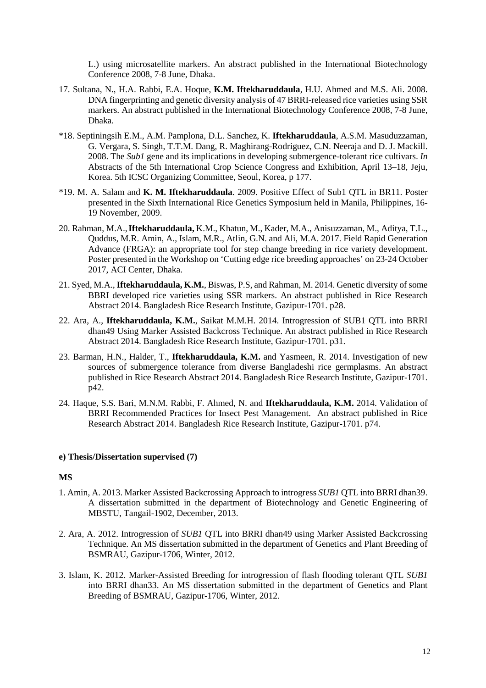L.) using microsatellite markers. An abstract published in the International Biotechnology Conference 2008, 7-8 June, Dhaka.

- 17. Sultana, N., H.A. Rabbi, E.A. Hoque, **K.M. Iftekharuddaula**, H.U. Ahmed and M.S. Ali. 2008. DNA fingerprinting and genetic diversity analysis of 47 BRRI-released rice varieties using SSR markers. An abstract published in the International Biotechnology Conference 2008, 7-8 June, Dhaka.
- \*18. Septiningsih E.M., A.M. Pamplona, D.L. Sanchez, K. **Iftekharuddaula**, A.S.M. Masuduzzaman, G. Vergara, S. Singh, T.T.M. Dang, R. Maghirang-Rodriguez, C.N. Neeraja and D. J. Mackill. 2008. The *Sub1* gene and its implications in developing submergence-tolerant rice cultivars. *In* Abstracts of the 5th International Crop Science Congress and Exhibition, April 13–18, Jeju, Korea. 5th ICSC Organizing Committee, Seoul, Korea, p 177.
- \*19. M. A. Salam and **K. M. Iftekharuddaula**. 2009. Positive Effect of Sub1 QTL in BR11. Poster presented in the Sixth International Rice Genetics Symposium held in Manila, Philippines, 16- 19 November, 2009.
- 20. Rahman, M.A.,**Iftekharuddaula,** K.M., Khatun, M., Kader, M.A., Anisuzzaman, M., Aditya, T.L., Quddus, M.R. Amin, A., Islam, M.R., Atlin, G.N. and Ali, M.A. 2017. Field Rapid Generation Advance (FRGA): an appropriate tool for step change breeding in rice variety development. Poster presented in the Workshop on 'Cutting edge rice breeding approaches' on 23-24 October 2017, ACI Center, Dhaka.
- 21. Syed, M.A., **Iftekharuddaula, K.M.**, Biswas, P.S, and Rahman, M. 2014. Genetic diversity of some BBRI developed rice varieties using SSR markers. An abstract published in Rice Research Abstract 2014. Bangladesh Rice Research Institute, Gazipur-1701. p28.
- 22. Ara, A., **Iftekharuddaula, K.M.**, Saikat M.M.H. 2014. Introgression of SUB1 QTL into BRRI dhan49 Using Marker Assisted Backcross Technique. An abstract published in Rice Research Abstract 2014. Bangladesh Rice Research Institute, Gazipur-1701. p31.
- 23. Barman, H.N., Halder, T., **Iftekharuddaula, K.M.** and Yasmeen, R. 2014. Investigation of new sources of submergence tolerance from diverse Bangladeshi rice germplasms. An abstract published in Rice Research Abstract 2014. Bangladesh Rice Research Institute, Gazipur-1701. p42.
- 24. Haque, S.S. Bari, M.N.M. Rabbi, F. Ahmed, N. and **Iftekharuddaula, K.M.** 2014. Validation of BRRI Recommended Practices for Insect Pest Management. An abstract published in Rice Research Abstract 2014. Bangladesh Rice Research Institute, Gazipur-1701. p74.

## **e) Thesis/Dissertation supervised (7)**

## **MS**

- 1. Amin, A. 2013. Marker Assisted Backcrossing Approach to introgress *SUB1* QTL into BRRI dhan39. A dissertation submitted in the department of Biotechnology and Genetic Engineering of MBSTU, Tangail-1902, December, 2013.
- 2. Ara, A. 2012. Introgression of *SUB1* QTL into BRRI dhan49 using Marker Assisted Backcrossing Technique. An MS dissertation submitted in the department of Genetics and Plant Breeding of BSMRAU, Gazipur-1706, Winter, 2012.
- 3. Islam, K. 2012. Marker-Assisted Breeding for introgression of flash flooding tolerant QTL *SUB1*  into BRRI dhan33. An MS dissertation submitted in the department of Genetics and Plant Breeding of BSMRAU, Gazipur-1706, Winter, 2012.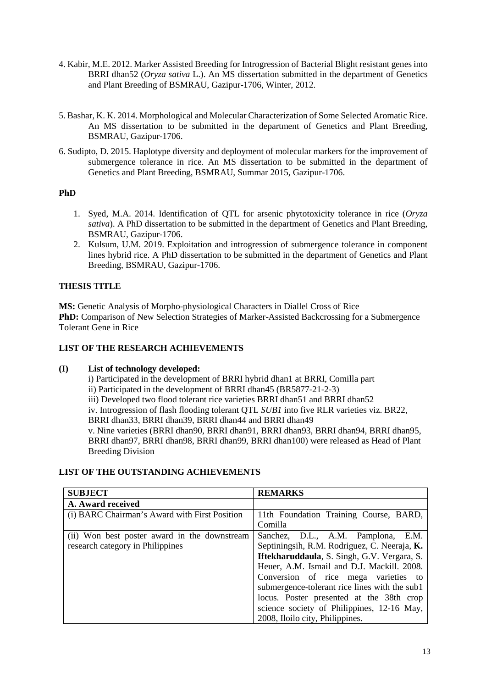- 4. Kabir, M.E. 2012. Marker Assisted Breeding for Introgression of Bacterial Blight resistant genes into BRRI dhan52 (*Oryza sativa* L.). An MS dissertation submitted in the department of Genetics and Plant Breeding of BSMRAU, Gazipur-1706, Winter, 2012.
- 5. Bashar, K. K. 2014. Morphological and Molecular Characterization of Some Selected Aromatic Rice. An MS dissertation to be submitted in the department of Genetics and Plant Breeding, BSMRAU, Gazipur-1706.
- 6. Sudipto, D. 2015. Haplotype diversity and deployment of molecular markers for the improvement of submergence tolerance in rice. An MS dissertation to be submitted in the department of Genetics and Plant Breeding, BSMRAU, Summar 2015, Gazipur-1706.

# **PhD**

- 1. Syed, M.A. 2014. Identification of QTL for arsenic phytotoxicity tolerance in rice (*Oryza sativa*). A PhD dissertation to be submitted in the department of Genetics and Plant Breeding, BSMRAU, Gazipur-1706.
- 2. Kulsum, U.M. 2019. Exploitation and introgression of submergence tolerance in component lines hybrid rice. A PhD dissertation to be submitted in the department of Genetics and Plant Breeding, BSMRAU, Gazipur-1706.

# **THESIS TITLE**

**MS:** Genetic Analysis of Morpho-physiological Characters in Diallel Cross of Rice **PhD:** Comparison of New Selection Strategies of Marker-Assisted Backcrossing for a Submergence Tolerant Gene in Rice

# **LIST OF THE RESEARCH ACHIEVEMENTS**

# **(I) List of technology developed:**

i) Participated in the development of BRRI hybrid dhan1 at BRRI, Comilla part ii) Participated in the development of BRRI dhan45 (BR5877-21-2-3) iii) Developed two flood tolerant rice varieties BRRI dhan51 and BRRI dhan52 iv. Introgression of flash flooding tolerant QTL *SUB1* into five RLR varieties viz. BR22, BRRI dhan33, BRRI dhan39, BRRI dhan44 and BRRI dhan49 v. Nine varieties (BRRI dhan90, BRRI dhan91, BRRI dhan93, BRRI dhan94, BRRI dhan95, BRRI dhan97, BRRI dhan98, BRRI dhan99, BRRI dhan100) were released as Head of Plant Breeding Division

# **LIST OF THE OUTSTANDING ACHIEVEMENTS**

| <b>SUBJECT</b>                                | <b>REMARKS</b>                                |
|-----------------------------------------------|-----------------------------------------------|
| A. Award received                             |                                               |
| (i) BARC Chairman's Award with First Position | 11th Foundation Training Course, BARD,        |
|                                               | Comilla                                       |
| (ii) Won best poster award in the downstream  | Sanchez, D.L., A.M. Pamplona, E.M.            |
| research category in Philippines              | Septiningsih, R.M. Rodriguez, C. Neeraja, K.  |
|                                               | Iftekharuddaula, S. Singh, G.V. Vergara, S.   |
|                                               | Heuer, A.M. Ismail and D.J. Mackill. 2008.    |
|                                               | Conversion of rice mega varieties to          |
|                                               | submergence-tolerant rice lines with the sub1 |
|                                               | locus. Poster presented at the 38th crop      |
|                                               | science society of Philippines, 12-16 May,    |
|                                               | 2008, Iloilo city, Philippines.               |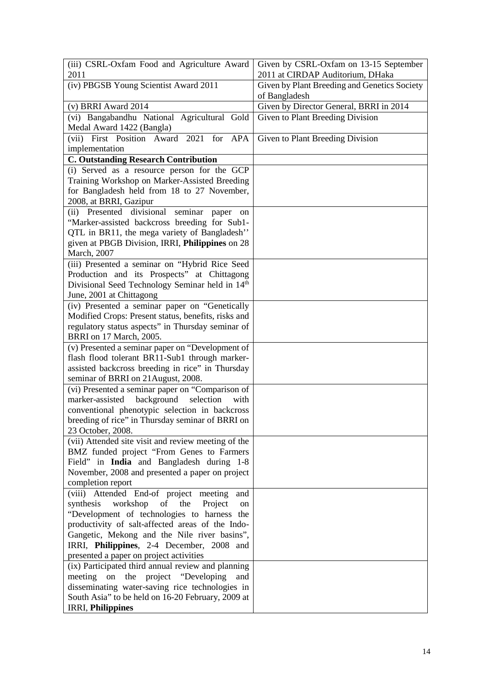| (iv) PBGSB Young Scientist Award 2011<br>Given by Plant Breeding and Genetics Society<br>of Bangladesh<br>Given by Director General, BRRI in 2014<br>(v) BRRI Award 2014<br>(vi) Bangabandhu National Agricultural Gold<br>Given to Plant Breeding Division<br>Medal Award 1422 (Bangla)<br>(vii) First Position Award 2021 for APA<br>Given to Plant Breeding Division<br>implementation<br><b>C. Outstanding Research Contribution</b><br>(i) Served as a resource person for the GCP<br>Training Workshop on Marker-Assisted Breeding<br>for Bangladesh held from 18 to 27 November,<br>2008, at BRRI, Gazipur<br>(ii) Presented divisional<br>seminar<br>paper on<br>"Marker-assisted backcross breeding for Sub1-<br>QTL in BR11, the mega variety of Bangladesh"<br>given at PBGB Division, IRRI, Philippines on 28<br>March, 2007<br>(iii) Presented a seminar on "Hybrid Rice Seed<br>Production and its Prospects" at Chittagong<br>Divisional Seed Technology Seminar held in 14th<br>June, 2001 at Chittagong<br>(iv) Presented a seminar paper on "Genetically<br>Modified Crops: Present status, benefits, risks and<br>regulatory status aspects" in Thursday seminar of<br>BRRI on 17 March, 2005.<br>(v) Presented a seminar paper on "Development of<br>flash flood tolerant BR11-Sub1 through marker-<br>assisted backcross breeding in rice" in Thursday<br>seminar of BRRI on 21 August, 2008.<br>(vi) Presented a seminar paper on "Comparison of<br>marker-assisted<br>background<br>selection<br>with<br>conventional phenotypic selection in backcross<br>breeding of rice" in Thursday seminar of BRRI on<br>23 October, 2008.<br>(vii) Attended site visit and review meeting of the<br>BMZ funded project "From Genes to Farmers<br>Field" in India and Bangladesh during 1-8<br>November, 2008 and presented a paper on project<br>completion report<br>(viii) Attended End-of project meeting<br>and<br>synthesis<br>workshop<br>the<br>of<br>Project<br>on<br>"Development of technologies to harness the<br>productivity of salt-affected areas of the Indo-<br>Gangetic, Mekong and the Nile river basins",<br>IRRI, Philippines, 2-4 December, 2008 and | (iii) CSRL-Oxfam Food and Agriculture Award<br>2011 | Given by CSRL-Oxfam on 13-15 September<br>2011 at CIRDAP Auditorium, DHaka |
|------------------------------------------------------------------------------------------------------------------------------------------------------------------------------------------------------------------------------------------------------------------------------------------------------------------------------------------------------------------------------------------------------------------------------------------------------------------------------------------------------------------------------------------------------------------------------------------------------------------------------------------------------------------------------------------------------------------------------------------------------------------------------------------------------------------------------------------------------------------------------------------------------------------------------------------------------------------------------------------------------------------------------------------------------------------------------------------------------------------------------------------------------------------------------------------------------------------------------------------------------------------------------------------------------------------------------------------------------------------------------------------------------------------------------------------------------------------------------------------------------------------------------------------------------------------------------------------------------------------------------------------------------------------------------------------------------------------------------------------------------------------------------------------------------------------------------------------------------------------------------------------------------------------------------------------------------------------------------------------------------------------------------------------------------------------------------------------------------------------------------------------------------------------------------------------|-----------------------------------------------------|----------------------------------------------------------------------------|
|                                                                                                                                                                                                                                                                                                                                                                                                                                                                                                                                                                                                                                                                                                                                                                                                                                                                                                                                                                                                                                                                                                                                                                                                                                                                                                                                                                                                                                                                                                                                                                                                                                                                                                                                                                                                                                                                                                                                                                                                                                                                                                                                                                                          |                                                     |                                                                            |
|                                                                                                                                                                                                                                                                                                                                                                                                                                                                                                                                                                                                                                                                                                                                                                                                                                                                                                                                                                                                                                                                                                                                                                                                                                                                                                                                                                                                                                                                                                                                                                                                                                                                                                                                                                                                                                                                                                                                                                                                                                                                                                                                                                                          |                                                     |                                                                            |
|                                                                                                                                                                                                                                                                                                                                                                                                                                                                                                                                                                                                                                                                                                                                                                                                                                                                                                                                                                                                                                                                                                                                                                                                                                                                                                                                                                                                                                                                                                                                                                                                                                                                                                                                                                                                                                                                                                                                                                                                                                                                                                                                                                                          |                                                     |                                                                            |
|                                                                                                                                                                                                                                                                                                                                                                                                                                                                                                                                                                                                                                                                                                                                                                                                                                                                                                                                                                                                                                                                                                                                                                                                                                                                                                                                                                                                                                                                                                                                                                                                                                                                                                                                                                                                                                                                                                                                                                                                                                                                                                                                                                                          |                                                     |                                                                            |
|                                                                                                                                                                                                                                                                                                                                                                                                                                                                                                                                                                                                                                                                                                                                                                                                                                                                                                                                                                                                                                                                                                                                                                                                                                                                                                                                                                                                                                                                                                                                                                                                                                                                                                                                                                                                                                                                                                                                                                                                                                                                                                                                                                                          |                                                     |                                                                            |
|                                                                                                                                                                                                                                                                                                                                                                                                                                                                                                                                                                                                                                                                                                                                                                                                                                                                                                                                                                                                                                                                                                                                                                                                                                                                                                                                                                                                                                                                                                                                                                                                                                                                                                                                                                                                                                                                                                                                                                                                                                                                                                                                                                                          |                                                     |                                                                            |
|                                                                                                                                                                                                                                                                                                                                                                                                                                                                                                                                                                                                                                                                                                                                                                                                                                                                                                                                                                                                                                                                                                                                                                                                                                                                                                                                                                                                                                                                                                                                                                                                                                                                                                                                                                                                                                                                                                                                                                                                                                                                                                                                                                                          |                                                     |                                                                            |
|                                                                                                                                                                                                                                                                                                                                                                                                                                                                                                                                                                                                                                                                                                                                                                                                                                                                                                                                                                                                                                                                                                                                                                                                                                                                                                                                                                                                                                                                                                                                                                                                                                                                                                                                                                                                                                                                                                                                                                                                                                                                                                                                                                                          |                                                     |                                                                            |
|                                                                                                                                                                                                                                                                                                                                                                                                                                                                                                                                                                                                                                                                                                                                                                                                                                                                                                                                                                                                                                                                                                                                                                                                                                                                                                                                                                                                                                                                                                                                                                                                                                                                                                                                                                                                                                                                                                                                                                                                                                                                                                                                                                                          |                                                     |                                                                            |
|                                                                                                                                                                                                                                                                                                                                                                                                                                                                                                                                                                                                                                                                                                                                                                                                                                                                                                                                                                                                                                                                                                                                                                                                                                                                                                                                                                                                                                                                                                                                                                                                                                                                                                                                                                                                                                                                                                                                                                                                                                                                                                                                                                                          |                                                     |                                                                            |
|                                                                                                                                                                                                                                                                                                                                                                                                                                                                                                                                                                                                                                                                                                                                                                                                                                                                                                                                                                                                                                                                                                                                                                                                                                                                                                                                                                                                                                                                                                                                                                                                                                                                                                                                                                                                                                                                                                                                                                                                                                                                                                                                                                                          |                                                     |                                                                            |
|                                                                                                                                                                                                                                                                                                                                                                                                                                                                                                                                                                                                                                                                                                                                                                                                                                                                                                                                                                                                                                                                                                                                                                                                                                                                                                                                                                                                                                                                                                                                                                                                                                                                                                                                                                                                                                                                                                                                                                                                                                                                                                                                                                                          |                                                     |                                                                            |
|                                                                                                                                                                                                                                                                                                                                                                                                                                                                                                                                                                                                                                                                                                                                                                                                                                                                                                                                                                                                                                                                                                                                                                                                                                                                                                                                                                                                                                                                                                                                                                                                                                                                                                                                                                                                                                                                                                                                                                                                                                                                                                                                                                                          |                                                     |                                                                            |
|                                                                                                                                                                                                                                                                                                                                                                                                                                                                                                                                                                                                                                                                                                                                                                                                                                                                                                                                                                                                                                                                                                                                                                                                                                                                                                                                                                                                                                                                                                                                                                                                                                                                                                                                                                                                                                                                                                                                                                                                                                                                                                                                                                                          |                                                     |                                                                            |
|                                                                                                                                                                                                                                                                                                                                                                                                                                                                                                                                                                                                                                                                                                                                                                                                                                                                                                                                                                                                                                                                                                                                                                                                                                                                                                                                                                                                                                                                                                                                                                                                                                                                                                                                                                                                                                                                                                                                                                                                                                                                                                                                                                                          |                                                     |                                                                            |
|                                                                                                                                                                                                                                                                                                                                                                                                                                                                                                                                                                                                                                                                                                                                                                                                                                                                                                                                                                                                                                                                                                                                                                                                                                                                                                                                                                                                                                                                                                                                                                                                                                                                                                                                                                                                                                                                                                                                                                                                                                                                                                                                                                                          |                                                     |                                                                            |
|                                                                                                                                                                                                                                                                                                                                                                                                                                                                                                                                                                                                                                                                                                                                                                                                                                                                                                                                                                                                                                                                                                                                                                                                                                                                                                                                                                                                                                                                                                                                                                                                                                                                                                                                                                                                                                                                                                                                                                                                                                                                                                                                                                                          |                                                     |                                                                            |
|                                                                                                                                                                                                                                                                                                                                                                                                                                                                                                                                                                                                                                                                                                                                                                                                                                                                                                                                                                                                                                                                                                                                                                                                                                                                                                                                                                                                                                                                                                                                                                                                                                                                                                                                                                                                                                                                                                                                                                                                                                                                                                                                                                                          |                                                     |                                                                            |
|                                                                                                                                                                                                                                                                                                                                                                                                                                                                                                                                                                                                                                                                                                                                                                                                                                                                                                                                                                                                                                                                                                                                                                                                                                                                                                                                                                                                                                                                                                                                                                                                                                                                                                                                                                                                                                                                                                                                                                                                                                                                                                                                                                                          |                                                     |                                                                            |
|                                                                                                                                                                                                                                                                                                                                                                                                                                                                                                                                                                                                                                                                                                                                                                                                                                                                                                                                                                                                                                                                                                                                                                                                                                                                                                                                                                                                                                                                                                                                                                                                                                                                                                                                                                                                                                                                                                                                                                                                                                                                                                                                                                                          |                                                     |                                                                            |
|                                                                                                                                                                                                                                                                                                                                                                                                                                                                                                                                                                                                                                                                                                                                                                                                                                                                                                                                                                                                                                                                                                                                                                                                                                                                                                                                                                                                                                                                                                                                                                                                                                                                                                                                                                                                                                                                                                                                                                                                                                                                                                                                                                                          |                                                     |                                                                            |
|                                                                                                                                                                                                                                                                                                                                                                                                                                                                                                                                                                                                                                                                                                                                                                                                                                                                                                                                                                                                                                                                                                                                                                                                                                                                                                                                                                                                                                                                                                                                                                                                                                                                                                                                                                                                                                                                                                                                                                                                                                                                                                                                                                                          |                                                     |                                                                            |
|                                                                                                                                                                                                                                                                                                                                                                                                                                                                                                                                                                                                                                                                                                                                                                                                                                                                                                                                                                                                                                                                                                                                                                                                                                                                                                                                                                                                                                                                                                                                                                                                                                                                                                                                                                                                                                                                                                                                                                                                                                                                                                                                                                                          |                                                     |                                                                            |
|                                                                                                                                                                                                                                                                                                                                                                                                                                                                                                                                                                                                                                                                                                                                                                                                                                                                                                                                                                                                                                                                                                                                                                                                                                                                                                                                                                                                                                                                                                                                                                                                                                                                                                                                                                                                                                                                                                                                                                                                                                                                                                                                                                                          |                                                     |                                                                            |
|                                                                                                                                                                                                                                                                                                                                                                                                                                                                                                                                                                                                                                                                                                                                                                                                                                                                                                                                                                                                                                                                                                                                                                                                                                                                                                                                                                                                                                                                                                                                                                                                                                                                                                                                                                                                                                                                                                                                                                                                                                                                                                                                                                                          |                                                     |                                                                            |
|                                                                                                                                                                                                                                                                                                                                                                                                                                                                                                                                                                                                                                                                                                                                                                                                                                                                                                                                                                                                                                                                                                                                                                                                                                                                                                                                                                                                                                                                                                                                                                                                                                                                                                                                                                                                                                                                                                                                                                                                                                                                                                                                                                                          |                                                     |                                                                            |
|                                                                                                                                                                                                                                                                                                                                                                                                                                                                                                                                                                                                                                                                                                                                                                                                                                                                                                                                                                                                                                                                                                                                                                                                                                                                                                                                                                                                                                                                                                                                                                                                                                                                                                                                                                                                                                                                                                                                                                                                                                                                                                                                                                                          |                                                     |                                                                            |
|                                                                                                                                                                                                                                                                                                                                                                                                                                                                                                                                                                                                                                                                                                                                                                                                                                                                                                                                                                                                                                                                                                                                                                                                                                                                                                                                                                                                                                                                                                                                                                                                                                                                                                                                                                                                                                                                                                                                                                                                                                                                                                                                                                                          |                                                     |                                                                            |
|                                                                                                                                                                                                                                                                                                                                                                                                                                                                                                                                                                                                                                                                                                                                                                                                                                                                                                                                                                                                                                                                                                                                                                                                                                                                                                                                                                                                                                                                                                                                                                                                                                                                                                                                                                                                                                                                                                                                                                                                                                                                                                                                                                                          |                                                     |                                                                            |
|                                                                                                                                                                                                                                                                                                                                                                                                                                                                                                                                                                                                                                                                                                                                                                                                                                                                                                                                                                                                                                                                                                                                                                                                                                                                                                                                                                                                                                                                                                                                                                                                                                                                                                                                                                                                                                                                                                                                                                                                                                                                                                                                                                                          |                                                     |                                                                            |
|                                                                                                                                                                                                                                                                                                                                                                                                                                                                                                                                                                                                                                                                                                                                                                                                                                                                                                                                                                                                                                                                                                                                                                                                                                                                                                                                                                                                                                                                                                                                                                                                                                                                                                                                                                                                                                                                                                                                                                                                                                                                                                                                                                                          |                                                     |                                                                            |
|                                                                                                                                                                                                                                                                                                                                                                                                                                                                                                                                                                                                                                                                                                                                                                                                                                                                                                                                                                                                                                                                                                                                                                                                                                                                                                                                                                                                                                                                                                                                                                                                                                                                                                                                                                                                                                                                                                                                                                                                                                                                                                                                                                                          |                                                     |                                                                            |
|                                                                                                                                                                                                                                                                                                                                                                                                                                                                                                                                                                                                                                                                                                                                                                                                                                                                                                                                                                                                                                                                                                                                                                                                                                                                                                                                                                                                                                                                                                                                                                                                                                                                                                                                                                                                                                                                                                                                                                                                                                                                                                                                                                                          |                                                     |                                                                            |
|                                                                                                                                                                                                                                                                                                                                                                                                                                                                                                                                                                                                                                                                                                                                                                                                                                                                                                                                                                                                                                                                                                                                                                                                                                                                                                                                                                                                                                                                                                                                                                                                                                                                                                                                                                                                                                                                                                                                                                                                                                                                                                                                                                                          |                                                     |                                                                            |
|                                                                                                                                                                                                                                                                                                                                                                                                                                                                                                                                                                                                                                                                                                                                                                                                                                                                                                                                                                                                                                                                                                                                                                                                                                                                                                                                                                                                                                                                                                                                                                                                                                                                                                                                                                                                                                                                                                                                                                                                                                                                                                                                                                                          |                                                     |                                                                            |
|                                                                                                                                                                                                                                                                                                                                                                                                                                                                                                                                                                                                                                                                                                                                                                                                                                                                                                                                                                                                                                                                                                                                                                                                                                                                                                                                                                                                                                                                                                                                                                                                                                                                                                                                                                                                                                                                                                                                                                                                                                                                                                                                                                                          |                                                     |                                                                            |
|                                                                                                                                                                                                                                                                                                                                                                                                                                                                                                                                                                                                                                                                                                                                                                                                                                                                                                                                                                                                                                                                                                                                                                                                                                                                                                                                                                                                                                                                                                                                                                                                                                                                                                                                                                                                                                                                                                                                                                                                                                                                                                                                                                                          |                                                     |                                                                            |
|                                                                                                                                                                                                                                                                                                                                                                                                                                                                                                                                                                                                                                                                                                                                                                                                                                                                                                                                                                                                                                                                                                                                                                                                                                                                                                                                                                                                                                                                                                                                                                                                                                                                                                                                                                                                                                                                                                                                                                                                                                                                                                                                                                                          |                                                     |                                                                            |
|                                                                                                                                                                                                                                                                                                                                                                                                                                                                                                                                                                                                                                                                                                                                                                                                                                                                                                                                                                                                                                                                                                                                                                                                                                                                                                                                                                                                                                                                                                                                                                                                                                                                                                                                                                                                                                                                                                                                                                                                                                                                                                                                                                                          |                                                     |                                                                            |
|                                                                                                                                                                                                                                                                                                                                                                                                                                                                                                                                                                                                                                                                                                                                                                                                                                                                                                                                                                                                                                                                                                                                                                                                                                                                                                                                                                                                                                                                                                                                                                                                                                                                                                                                                                                                                                                                                                                                                                                                                                                                                                                                                                                          |                                                     |                                                                            |
|                                                                                                                                                                                                                                                                                                                                                                                                                                                                                                                                                                                                                                                                                                                                                                                                                                                                                                                                                                                                                                                                                                                                                                                                                                                                                                                                                                                                                                                                                                                                                                                                                                                                                                                                                                                                                                                                                                                                                                                                                                                                                                                                                                                          |                                                     |                                                                            |
|                                                                                                                                                                                                                                                                                                                                                                                                                                                                                                                                                                                                                                                                                                                                                                                                                                                                                                                                                                                                                                                                                                                                                                                                                                                                                                                                                                                                                                                                                                                                                                                                                                                                                                                                                                                                                                                                                                                                                                                                                                                                                                                                                                                          |                                                     |                                                                            |
| presented a paper on project activities<br>(ix) Participated third annual review and planning                                                                                                                                                                                                                                                                                                                                                                                                                                                                                                                                                                                                                                                                                                                                                                                                                                                                                                                                                                                                                                                                                                                                                                                                                                                                                                                                                                                                                                                                                                                                                                                                                                                                                                                                                                                                                                                                                                                                                                                                                                                                                            |                                                     |                                                                            |
| meeting on<br>the project "Developing<br>and                                                                                                                                                                                                                                                                                                                                                                                                                                                                                                                                                                                                                                                                                                                                                                                                                                                                                                                                                                                                                                                                                                                                                                                                                                                                                                                                                                                                                                                                                                                                                                                                                                                                                                                                                                                                                                                                                                                                                                                                                                                                                                                                             |                                                     |                                                                            |
| disseminating water-saving rice technologies in                                                                                                                                                                                                                                                                                                                                                                                                                                                                                                                                                                                                                                                                                                                                                                                                                                                                                                                                                                                                                                                                                                                                                                                                                                                                                                                                                                                                                                                                                                                                                                                                                                                                                                                                                                                                                                                                                                                                                                                                                                                                                                                                          |                                                     |                                                                            |
| South Asia" to be held on 16-20 February, 2009 at                                                                                                                                                                                                                                                                                                                                                                                                                                                                                                                                                                                                                                                                                                                                                                                                                                                                                                                                                                                                                                                                                                                                                                                                                                                                                                                                                                                                                                                                                                                                                                                                                                                                                                                                                                                                                                                                                                                                                                                                                                                                                                                                        |                                                     |                                                                            |
| <b>IRRI, Philippines</b>                                                                                                                                                                                                                                                                                                                                                                                                                                                                                                                                                                                                                                                                                                                                                                                                                                                                                                                                                                                                                                                                                                                                                                                                                                                                                                                                                                                                                                                                                                                                                                                                                                                                                                                                                                                                                                                                                                                                                                                                                                                                                                                                                                 |                                                     |                                                                            |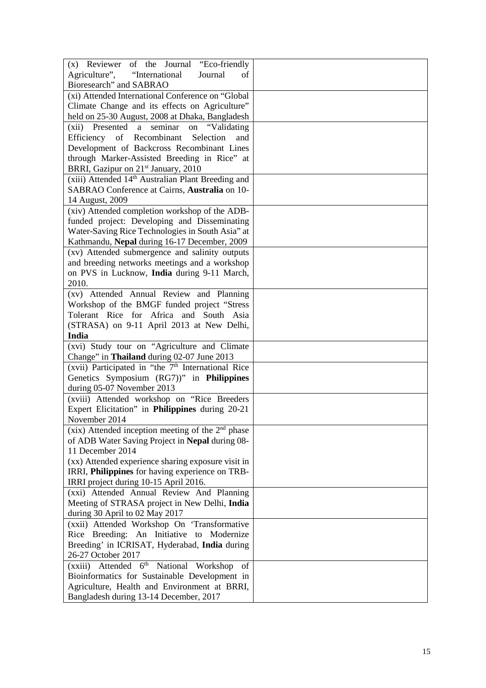| Agriculture",<br>"International<br>Journal<br>of<br>Bioresearch" and SABRAO<br>(xi) Attended International Conference on "Global<br>Climate Change and its effects on Agriculture"<br>held on 25-30 August, 2008 at Dhaka, Bangladesh<br>(xii) Presented<br>"Validating<br>seminar<br>a a<br>on<br>Efficiency<br>of Recombinant<br>Selection<br>and<br>Development of Backcross Recombinant Lines<br>through Marker-Assisted Breeding in Rice" at<br>BRRI, Gazipur on 21 <sup>st</sup> January, 2010<br>(xiii) Attended 14 <sup>th</sup> Australian Plant Breeding and<br>SABRAO Conference at Cairns, Australia on 10-<br>14 August, 2009<br>(xiv) Attended completion workshop of the ADB-<br>funded project: Developing and Disseminating<br>Water-Saving Rice Technologies in South Asia" at<br>Kathmandu, Nepal during 16-17 December, 2009<br>(xv) Attended submergence and salinity outputs<br>and breeding networks meetings and a workshop<br>on PVS in Lucknow, India during 9-11 March,<br>2010.<br>(xv) Attended Annual Review and Planning<br>Workshop of the BMGF funded project "Stress"<br>Tolerant Rice for Africa and South Asia<br>(STRASA) on 9-11 April 2013 at New Delhi,<br>India<br>(xvi) Study tour on "Agriculture and Climate<br>Change" in Thailand during 02-07 June 2013<br>(xvii) Participated in "the 7 <sup>th</sup> International Rice<br>Genetics Symposium (RG7))" in Philippines<br>during 05-07 November 2013<br>(xviii) Attended workshop on "Rice Breeders<br>Expert Elicitation" in Philippines during 20-21<br>November 2014<br>(xix) Attended inception meeting of the $2nd$ phase<br>of ADB Water Saving Project in Nepal during 08-<br>11 December 2014<br>(xx) Attended experience sharing exposure visit in<br>IRRI, Philippines for having experience on TRB-<br>IRRI project during 10-15 April 2016.<br>(xxi) Attended Annual Review And Planning<br>Meeting of STRASA project in New Delhi, India<br>during 30 April to 02 May 2017<br>(xxii) Attended Workshop On 'Transformative<br>Rice Breeding: An Initiative to Modernize<br>Breeding' in ICRISAT, Hyderabad, India during<br>26-27 October 2017<br>6 <sup>th</sup><br>National Workshop<br>Attended<br>(xxiii)<br>of<br>Bioinformatics for Sustainable Development in<br>Agriculture, Health and Environment at BRRI,<br>Bangladesh during 13-14 December, 2017 |                                           |  |
|---------------------------------------------------------------------------------------------------------------------------------------------------------------------------------------------------------------------------------------------------------------------------------------------------------------------------------------------------------------------------------------------------------------------------------------------------------------------------------------------------------------------------------------------------------------------------------------------------------------------------------------------------------------------------------------------------------------------------------------------------------------------------------------------------------------------------------------------------------------------------------------------------------------------------------------------------------------------------------------------------------------------------------------------------------------------------------------------------------------------------------------------------------------------------------------------------------------------------------------------------------------------------------------------------------------------------------------------------------------------------------------------------------------------------------------------------------------------------------------------------------------------------------------------------------------------------------------------------------------------------------------------------------------------------------------------------------------------------------------------------------------------------------------------------------------------------------------------------------------------------------------------------------------------------------------------------------------------------------------------------------------------------------------------------------------------------------------------------------------------------------------------------------------------------------------------------------------------------------------------------------------------------------------------------------------------------------------------------------------------------|-------------------------------------------|--|
|                                                                                                                                                                                                                                                                                                                                                                                                                                                                                                                                                                                                                                                                                                                                                                                                                                                                                                                                                                                                                                                                                                                                                                                                                                                                                                                                                                                                                                                                                                                                                                                                                                                                                                                                                                                                                                                                                                                                                                                                                                                                                                                                                                                                                                                                                                                                                                           | (x) Reviewer of the Journal "Eco-friendly |  |
|                                                                                                                                                                                                                                                                                                                                                                                                                                                                                                                                                                                                                                                                                                                                                                                                                                                                                                                                                                                                                                                                                                                                                                                                                                                                                                                                                                                                                                                                                                                                                                                                                                                                                                                                                                                                                                                                                                                                                                                                                                                                                                                                                                                                                                                                                                                                                                           |                                           |  |
|                                                                                                                                                                                                                                                                                                                                                                                                                                                                                                                                                                                                                                                                                                                                                                                                                                                                                                                                                                                                                                                                                                                                                                                                                                                                                                                                                                                                                                                                                                                                                                                                                                                                                                                                                                                                                                                                                                                                                                                                                                                                                                                                                                                                                                                                                                                                                                           |                                           |  |
|                                                                                                                                                                                                                                                                                                                                                                                                                                                                                                                                                                                                                                                                                                                                                                                                                                                                                                                                                                                                                                                                                                                                                                                                                                                                                                                                                                                                                                                                                                                                                                                                                                                                                                                                                                                                                                                                                                                                                                                                                                                                                                                                                                                                                                                                                                                                                                           |                                           |  |
|                                                                                                                                                                                                                                                                                                                                                                                                                                                                                                                                                                                                                                                                                                                                                                                                                                                                                                                                                                                                                                                                                                                                                                                                                                                                                                                                                                                                                                                                                                                                                                                                                                                                                                                                                                                                                                                                                                                                                                                                                                                                                                                                                                                                                                                                                                                                                                           |                                           |  |
|                                                                                                                                                                                                                                                                                                                                                                                                                                                                                                                                                                                                                                                                                                                                                                                                                                                                                                                                                                                                                                                                                                                                                                                                                                                                                                                                                                                                                                                                                                                                                                                                                                                                                                                                                                                                                                                                                                                                                                                                                                                                                                                                                                                                                                                                                                                                                                           |                                           |  |
|                                                                                                                                                                                                                                                                                                                                                                                                                                                                                                                                                                                                                                                                                                                                                                                                                                                                                                                                                                                                                                                                                                                                                                                                                                                                                                                                                                                                                                                                                                                                                                                                                                                                                                                                                                                                                                                                                                                                                                                                                                                                                                                                                                                                                                                                                                                                                                           |                                           |  |
|                                                                                                                                                                                                                                                                                                                                                                                                                                                                                                                                                                                                                                                                                                                                                                                                                                                                                                                                                                                                                                                                                                                                                                                                                                                                                                                                                                                                                                                                                                                                                                                                                                                                                                                                                                                                                                                                                                                                                                                                                                                                                                                                                                                                                                                                                                                                                                           |                                           |  |
|                                                                                                                                                                                                                                                                                                                                                                                                                                                                                                                                                                                                                                                                                                                                                                                                                                                                                                                                                                                                                                                                                                                                                                                                                                                                                                                                                                                                                                                                                                                                                                                                                                                                                                                                                                                                                                                                                                                                                                                                                                                                                                                                                                                                                                                                                                                                                                           |                                           |  |
|                                                                                                                                                                                                                                                                                                                                                                                                                                                                                                                                                                                                                                                                                                                                                                                                                                                                                                                                                                                                                                                                                                                                                                                                                                                                                                                                                                                                                                                                                                                                                                                                                                                                                                                                                                                                                                                                                                                                                                                                                                                                                                                                                                                                                                                                                                                                                                           |                                           |  |
|                                                                                                                                                                                                                                                                                                                                                                                                                                                                                                                                                                                                                                                                                                                                                                                                                                                                                                                                                                                                                                                                                                                                                                                                                                                                                                                                                                                                                                                                                                                                                                                                                                                                                                                                                                                                                                                                                                                                                                                                                                                                                                                                                                                                                                                                                                                                                                           |                                           |  |
|                                                                                                                                                                                                                                                                                                                                                                                                                                                                                                                                                                                                                                                                                                                                                                                                                                                                                                                                                                                                                                                                                                                                                                                                                                                                                                                                                                                                                                                                                                                                                                                                                                                                                                                                                                                                                                                                                                                                                                                                                                                                                                                                                                                                                                                                                                                                                                           |                                           |  |
|                                                                                                                                                                                                                                                                                                                                                                                                                                                                                                                                                                                                                                                                                                                                                                                                                                                                                                                                                                                                                                                                                                                                                                                                                                                                                                                                                                                                                                                                                                                                                                                                                                                                                                                                                                                                                                                                                                                                                                                                                                                                                                                                                                                                                                                                                                                                                                           |                                           |  |
|                                                                                                                                                                                                                                                                                                                                                                                                                                                                                                                                                                                                                                                                                                                                                                                                                                                                                                                                                                                                                                                                                                                                                                                                                                                                                                                                                                                                                                                                                                                                                                                                                                                                                                                                                                                                                                                                                                                                                                                                                                                                                                                                                                                                                                                                                                                                                                           |                                           |  |
|                                                                                                                                                                                                                                                                                                                                                                                                                                                                                                                                                                                                                                                                                                                                                                                                                                                                                                                                                                                                                                                                                                                                                                                                                                                                                                                                                                                                                                                                                                                                                                                                                                                                                                                                                                                                                                                                                                                                                                                                                                                                                                                                                                                                                                                                                                                                                                           |                                           |  |
|                                                                                                                                                                                                                                                                                                                                                                                                                                                                                                                                                                                                                                                                                                                                                                                                                                                                                                                                                                                                                                                                                                                                                                                                                                                                                                                                                                                                                                                                                                                                                                                                                                                                                                                                                                                                                                                                                                                                                                                                                                                                                                                                                                                                                                                                                                                                                                           |                                           |  |
|                                                                                                                                                                                                                                                                                                                                                                                                                                                                                                                                                                                                                                                                                                                                                                                                                                                                                                                                                                                                                                                                                                                                                                                                                                                                                                                                                                                                                                                                                                                                                                                                                                                                                                                                                                                                                                                                                                                                                                                                                                                                                                                                                                                                                                                                                                                                                                           |                                           |  |
|                                                                                                                                                                                                                                                                                                                                                                                                                                                                                                                                                                                                                                                                                                                                                                                                                                                                                                                                                                                                                                                                                                                                                                                                                                                                                                                                                                                                                                                                                                                                                                                                                                                                                                                                                                                                                                                                                                                                                                                                                                                                                                                                                                                                                                                                                                                                                                           |                                           |  |
|                                                                                                                                                                                                                                                                                                                                                                                                                                                                                                                                                                                                                                                                                                                                                                                                                                                                                                                                                                                                                                                                                                                                                                                                                                                                                                                                                                                                                                                                                                                                                                                                                                                                                                                                                                                                                                                                                                                                                                                                                                                                                                                                                                                                                                                                                                                                                                           |                                           |  |
|                                                                                                                                                                                                                                                                                                                                                                                                                                                                                                                                                                                                                                                                                                                                                                                                                                                                                                                                                                                                                                                                                                                                                                                                                                                                                                                                                                                                                                                                                                                                                                                                                                                                                                                                                                                                                                                                                                                                                                                                                                                                                                                                                                                                                                                                                                                                                                           |                                           |  |
|                                                                                                                                                                                                                                                                                                                                                                                                                                                                                                                                                                                                                                                                                                                                                                                                                                                                                                                                                                                                                                                                                                                                                                                                                                                                                                                                                                                                                                                                                                                                                                                                                                                                                                                                                                                                                                                                                                                                                                                                                                                                                                                                                                                                                                                                                                                                                                           |                                           |  |
|                                                                                                                                                                                                                                                                                                                                                                                                                                                                                                                                                                                                                                                                                                                                                                                                                                                                                                                                                                                                                                                                                                                                                                                                                                                                                                                                                                                                                                                                                                                                                                                                                                                                                                                                                                                                                                                                                                                                                                                                                                                                                                                                                                                                                                                                                                                                                                           |                                           |  |
|                                                                                                                                                                                                                                                                                                                                                                                                                                                                                                                                                                                                                                                                                                                                                                                                                                                                                                                                                                                                                                                                                                                                                                                                                                                                                                                                                                                                                                                                                                                                                                                                                                                                                                                                                                                                                                                                                                                                                                                                                                                                                                                                                                                                                                                                                                                                                                           |                                           |  |
|                                                                                                                                                                                                                                                                                                                                                                                                                                                                                                                                                                                                                                                                                                                                                                                                                                                                                                                                                                                                                                                                                                                                                                                                                                                                                                                                                                                                                                                                                                                                                                                                                                                                                                                                                                                                                                                                                                                                                                                                                                                                                                                                                                                                                                                                                                                                                                           |                                           |  |
|                                                                                                                                                                                                                                                                                                                                                                                                                                                                                                                                                                                                                                                                                                                                                                                                                                                                                                                                                                                                                                                                                                                                                                                                                                                                                                                                                                                                                                                                                                                                                                                                                                                                                                                                                                                                                                                                                                                                                                                                                                                                                                                                                                                                                                                                                                                                                                           |                                           |  |
|                                                                                                                                                                                                                                                                                                                                                                                                                                                                                                                                                                                                                                                                                                                                                                                                                                                                                                                                                                                                                                                                                                                                                                                                                                                                                                                                                                                                                                                                                                                                                                                                                                                                                                                                                                                                                                                                                                                                                                                                                                                                                                                                                                                                                                                                                                                                                                           |                                           |  |
|                                                                                                                                                                                                                                                                                                                                                                                                                                                                                                                                                                                                                                                                                                                                                                                                                                                                                                                                                                                                                                                                                                                                                                                                                                                                                                                                                                                                                                                                                                                                                                                                                                                                                                                                                                                                                                                                                                                                                                                                                                                                                                                                                                                                                                                                                                                                                                           |                                           |  |
|                                                                                                                                                                                                                                                                                                                                                                                                                                                                                                                                                                                                                                                                                                                                                                                                                                                                                                                                                                                                                                                                                                                                                                                                                                                                                                                                                                                                                                                                                                                                                                                                                                                                                                                                                                                                                                                                                                                                                                                                                                                                                                                                                                                                                                                                                                                                                                           |                                           |  |
|                                                                                                                                                                                                                                                                                                                                                                                                                                                                                                                                                                                                                                                                                                                                                                                                                                                                                                                                                                                                                                                                                                                                                                                                                                                                                                                                                                                                                                                                                                                                                                                                                                                                                                                                                                                                                                                                                                                                                                                                                                                                                                                                                                                                                                                                                                                                                                           |                                           |  |
|                                                                                                                                                                                                                                                                                                                                                                                                                                                                                                                                                                                                                                                                                                                                                                                                                                                                                                                                                                                                                                                                                                                                                                                                                                                                                                                                                                                                                                                                                                                                                                                                                                                                                                                                                                                                                                                                                                                                                                                                                                                                                                                                                                                                                                                                                                                                                                           |                                           |  |
|                                                                                                                                                                                                                                                                                                                                                                                                                                                                                                                                                                                                                                                                                                                                                                                                                                                                                                                                                                                                                                                                                                                                                                                                                                                                                                                                                                                                                                                                                                                                                                                                                                                                                                                                                                                                                                                                                                                                                                                                                                                                                                                                                                                                                                                                                                                                                                           |                                           |  |
|                                                                                                                                                                                                                                                                                                                                                                                                                                                                                                                                                                                                                                                                                                                                                                                                                                                                                                                                                                                                                                                                                                                                                                                                                                                                                                                                                                                                                                                                                                                                                                                                                                                                                                                                                                                                                                                                                                                                                                                                                                                                                                                                                                                                                                                                                                                                                                           |                                           |  |
|                                                                                                                                                                                                                                                                                                                                                                                                                                                                                                                                                                                                                                                                                                                                                                                                                                                                                                                                                                                                                                                                                                                                                                                                                                                                                                                                                                                                                                                                                                                                                                                                                                                                                                                                                                                                                                                                                                                                                                                                                                                                                                                                                                                                                                                                                                                                                                           |                                           |  |
|                                                                                                                                                                                                                                                                                                                                                                                                                                                                                                                                                                                                                                                                                                                                                                                                                                                                                                                                                                                                                                                                                                                                                                                                                                                                                                                                                                                                                                                                                                                                                                                                                                                                                                                                                                                                                                                                                                                                                                                                                                                                                                                                                                                                                                                                                                                                                                           |                                           |  |
|                                                                                                                                                                                                                                                                                                                                                                                                                                                                                                                                                                                                                                                                                                                                                                                                                                                                                                                                                                                                                                                                                                                                                                                                                                                                                                                                                                                                                                                                                                                                                                                                                                                                                                                                                                                                                                                                                                                                                                                                                                                                                                                                                                                                                                                                                                                                                                           |                                           |  |
|                                                                                                                                                                                                                                                                                                                                                                                                                                                                                                                                                                                                                                                                                                                                                                                                                                                                                                                                                                                                                                                                                                                                                                                                                                                                                                                                                                                                                                                                                                                                                                                                                                                                                                                                                                                                                                                                                                                                                                                                                                                                                                                                                                                                                                                                                                                                                                           |                                           |  |
|                                                                                                                                                                                                                                                                                                                                                                                                                                                                                                                                                                                                                                                                                                                                                                                                                                                                                                                                                                                                                                                                                                                                                                                                                                                                                                                                                                                                                                                                                                                                                                                                                                                                                                                                                                                                                                                                                                                                                                                                                                                                                                                                                                                                                                                                                                                                                                           |                                           |  |
|                                                                                                                                                                                                                                                                                                                                                                                                                                                                                                                                                                                                                                                                                                                                                                                                                                                                                                                                                                                                                                                                                                                                                                                                                                                                                                                                                                                                                                                                                                                                                                                                                                                                                                                                                                                                                                                                                                                                                                                                                                                                                                                                                                                                                                                                                                                                                                           |                                           |  |
|                                                                                                                                                                                                                                                                                                                                                                                                                                                                                                                                                                                                                                                                                                                                                                                                                                                                                                                                                                                                                                                                                                                                                                                                                                                                                                                                                                                                                                                                                                                                                                                                                                                                                                                                                                                                                                                                                                                                                                                                                                                                                                                                                                                                                                                                                                                                                                           |                                           |  |
|                                                                                                                                                                                                                                                                                                                                                                                                                                                                                                                                                                                                                                                                                                                                                                                                                                                                                                                                                                                                                                                                                                                                                                                                                                                                                                                                                                                                                                                                                                                                                                                                                                                                                                                                                                                                                                                                                                                                                                                                                                                                                                                                                                                                                                                                                                                                                                           |                                           |  |
|                                                                                                                                                                                                                                                                                                                                                                                                                                                                                                                                                                                                                                                                                                                                                                                                                                                                                                                                                                                                                                                                                                                                                                                                                                                                                                                                                                                                                                                                                                                                                                                                                                                                                                                                                                                                                                                                                                                                                                                                                                                                                                                                                                                                                                                                                                                                                                           |                                           |  |
|                                                                                                                                                                                                                                                                                                                                                                                                                                                                                                                                                                                                                                                                                                                                                                                                                                                                                                                                                                                                                                                                                                                                                                                                                                                                                                                                                                                                                                                                                                                                                                                                                                                                                                                                                                                                                                                                                                                                                                                                                                                                                                                                                                                                                                                                                                                                                                           |                                           |  |
|                                                                                                                                                                                                                                                                                                                                                                                                                                                                                                                                                                                                                                                                                                                                                                                                                                                                                                                                                                                                                                                                                                                                                                                                                                                                                                                                                                                                                                                                                                                                                                                                                                                                                                                                                                                                                                                                                                                                                                                                                                                                                                                                                                                                                                                                                                                                                                           |                                           |  |
|                                                                                                                                                                                                                                                                                                                                                                                                                                                                                                                                                                                                                                                                                                                                                                                                                                                                                                                                                                                                                                                                                                                                                                                                                                                                                                                                                                                                                                                                                                                                                                                                                                                                                                                                                                                                                                                                                                                                                                                                                                                                                                                                                                                                                                                                                                                                                                           |                                           |  |
|                                                                                                                                                                                                                                                                                                                                                                                                                                                                                                                                                                                                                                                                                                                                                                                                                                                                                                                                                                                                                                                                                                                                                                                                                                                                                                                                                                                                                                                                                                                                                                                                                                                                                                                                                                                                                                                                                                                                                                                                                                                                                                                                                                                                                                                                                                                                                                           |                                           |  |
|                                                                                                                                                                                                                                                                                                                                                                                                                                                                                                                                                                                                                                                                                                                                                                                                                                                                                                                                                                                                                                                                                                                                                                                                                                                                                                                                                                                                                                                                                                                                                                                                                                                                                                                                                                                                                                                                                                                                                                                                                                                                                                                                                                                                                                                                                                                                                                           |                                           |  |
|                                                                                                                                                                                                                                                                                                                                                                                                                                                                                                                                                                                                                                                                                                                                                                                                                                                                                                                                                                                                                                                                                                                                                                                                                                                                                                                                                                                                                                                                                                                                                                                                                                                                                                                                                                                                                                                                                                                                                                                                                                                                                                                                                                                                                                                                                                                                                                           |                                           |  |
|                                                                                                                                                                                                                                                                                                                                                                                                                                                                                                                                                                                                                                                                                                                                                                                                                                                                                                                                                                                                                                                                                                                                                                                                                                                                                                                                                                                                                                                                                                                                                                                                                                                                                                                                                                                                                                                                                                                                                                                                                                                                                                                                                                                                                                                                                                                                                                           |                                           |  |
|                                                                                                                                                                                                                                                                                                                                                                                                                                                                                                                                                                                                                                                                                                                                                                                                                                                                                                                                                                                                                                                                                                                                                                                                                                                                                                                                                                                                                                                                                                                                                                                                                                                                                                                                                                                                                                                                                                                                                                                                                                                                                                                                                                                                                                                                                                                                                                           |                                           |  |
|                                                                                                                                                                                                                                                                                                                                                                                                                                                                                                                                                                                                                                                                                                                                                                                                                                                                                                                                                                                                                                                                                                                                                                                                                                                                                                                                                                                                                                                                                                                                                                                                                                                                                                                                                                                                                                                                                                                                                                                                                                                                                                                                                                                                                                                                                                                                                                           |                                           |  |
|                                                                                                                                                                                                                                                                                                                                                                                                                                                                                                                                                                                                                                                                                                                                                                                                                                                                                                                                                                                                                                                                                                                                                                                                                                                                                                                                                                                                                                                                                                                                                                                                                                                                                                                                                                                                                                                                                                                                                                                                                                                                                                                                                                                                                                                                                                                                                                           |                                           |  |
|                                                                                                                                                                                                                                                                                                                                                                                                                                                                                                                                                                                                                                                                                                                                                                                                                                                                                                                                                                                                                                                                                                                                                                                                                                                                                                                                                                                                                                                                                                                                                                                                                                                                                                                                                                                                                                                                                                                                                                                                                                                                                                                                                                                                                                                                                                                                                                           |                                           |  |
|                                                                                                                                                                                                                                                                                                                                                                                                                                                                                                                                                                                                                                                                                                                                                                                                                                                                                                                                                                                                                                                                                                                                                                                                                                                                                                                                                                                                                                                                                                                                                                                                                                                                                                                                                                                                                                                                                                                                                                                                                                                                                                                                                                                                                                                                                                                                                                           |                                           |  |
|                                                                                                                                                                                                                                                                                                                                                                                                                                                                                                                                                                                                                                                                                                                                                                                                                                                                                                                                                                                                                                                                                                                                                                                                                                                                                                                                                                                                                                                                                                                                                                                                                                                                                                                                                                                                                                                                                                                                                                                                                                                                                                                                                                                                                                                                                                                                                                           |                                           |  |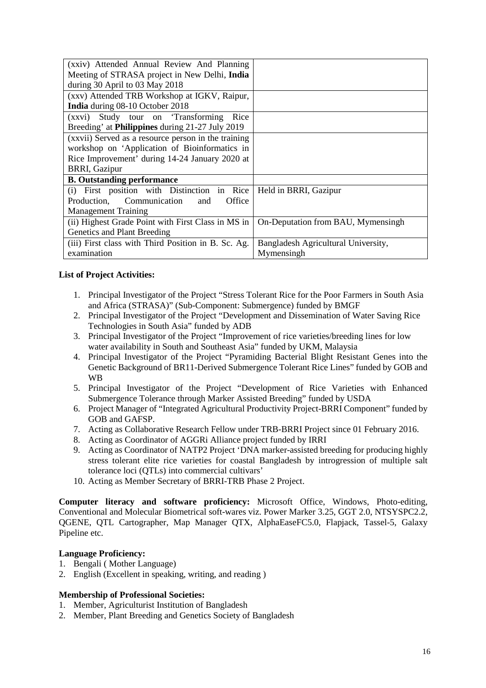| (xxiv) Attended Annual Review And Planning             |                                     |
|--------------------------------------------------------|-------------------------------------|
| Meeting of STRASA project in New Delhi, India          |                                     |
| during 30 April to 03 May 2018                         |                                     |
| (xxv) Attended TRB Workshop at IGKV, Raipur,           |                                     |
| India during 08-10 October 2018                        |                                     |
| (xxvi) Study tour on Transforming<br>Rice              |                                     |
| Breeding' at <b>Philippines</b> during 21-27 July 2019 |                                     |
| (xxvii) Served as a resource person in the training    |                                     |
| workshop on 'Application of Bioinformatics in          |                                     |
| Rice Improvement' during 14-24 January 2020 at         |                                     |
| <b>BRRI, Gazipur</b>                                   |                                     |
| <b>B.</b> Outstanding performance                      |                                     |
| (i) First position with Distinction in Rice            | Held in BRRI, Gazipur               |
| Production, Communication<br>Office<br>and             |                                     |
| <b>Management Training</b>                             |                                     |
| (ii) Highest Grade Point with First Class in MS in     | On-Deputation from BAU, Mymensingh  |
| Genetics and Plant Breeding                            |                                     |
| (iii) First class with Third Position in B. Sc. Ag.    | Bangladesh Agricultural University, |
| examination                                            | Mymensingh                          |

# **List of Project Activities:**

- 1. Principal Investigator of the Project "Stress Tolerant Rice for the Poor Farmers in South Asia and Africa (STRASA)" (Sub-Component: Submergence) funded by BMGF
- 2. Principal Investigator of the Project "Development and Dissemination of Water Saving Rice Technologies in South Asia" funded by ADB
- 3. Principal Investigator of the Project "Improvement of rice varieties/breeding lines for low water availability in South and Southeast Asia" funded by UKM, Malaysia
- 4. Principal Investigator of the Project "Pyramiding Bacterial Blight Resistant Genes into the Genetic Background of BR11-Derived Submergence Tolerant Rice Lines" funded by GOB and WB
- 5. Principal Investigator of the Project "Development of Rice Varieties with Enhanced Submergence Tolerance through Marker Assisted Breeding" funded by USDA
- 6. Project Manager of "Integrated Agricultural Productivity Project-BRRI Component" funded by GOB and GAFSP.
- 7. Acting as Collaborative Research Fellow under TRB-BRRI Project since 01 February 2016.
- 8. Acting as Coordinator of AGGRi Alliance project funded by IRRI
- 9. Acting as Coordinator of NATP2 Project 'DNA marker-assisted breeding for producing highly stress tolerant elite rice varieties for coastal Bangladesh by introgression of multiple salt tolerance loci (QTLs) into commercial cultivars'
- 10. Acting as Member Secretary of BRRI-TRB Phase 2 Project.

**Computer literacy and software proficiency:** Microsoft Office, Windows, Photo-editing, Conventional and Molecular Biometrical soft-wares viz. Power Marker 3.25, GGT 2.0, NTSYSPC2.2, QGENE, QTL Cartographer, Map Manager QTX, AlphaEaseFC5.0, Flapjack, Tassel-5, Galaxy Pipeline etc.

# **Language Proficiency:**

- 1. Bengali ( Mother Language)
- 2. English (Excellent in speaking, writing, and reading )

# **Membership of Professional Societies:**

- 1. Member, Agriculturist Institution of Bangladesh
- 2. Member, Plant Breeding and Genetics Society of Bangladesh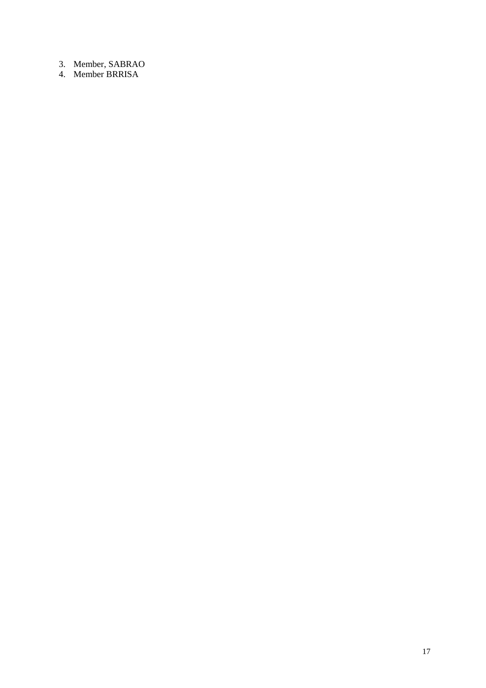- 3. Member, SABRAO
- 4. Member BRRISA